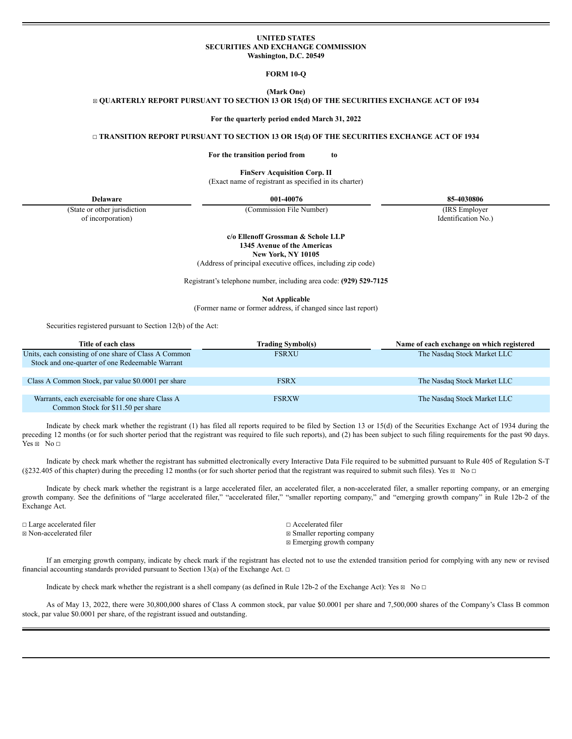## **UNITED STATES SECURITIES AND EXCHANGE COMMISSION Washington, D.C. 20549**

**FORM 10-Q**

**(Mark One)** ☒ **QUARTERLY REPORT PURSUANT TO SECTION 13 OR 15(d) OF THE SECURITIES EXCHANGE ACT OF 1934**

**For the quarterly period ended March 31, 2022**

☐ **TRANSITION REPORT PURSUANT TO SECTION 13 OR 15(d) OF THE SECURITIES EXCHANGE ACT OF 1934**

**For the transition period from to**

**FinServ Acquisition Corp. II**

(Exact name of registrant as specified in its charter)

**Delaware 001-40076 85-4030806**

(Commission File Number) (IRS Employer

Identification No.)

(State or other jurisdiction of incorporation)

> **c/o Ellenoff Grossman & Schole LLP 1345 Avenue of the Americas New York, NY 10105**

(Address of principal executive offices, including zip code)

Registrant's telephone number, including area code: **(929) 529-7125**

**Not Applicable**

(Former name or former address, if changed since last report)

Securities registered pursuant to Section 12(b) of the Act:

| Title of each class                                                                                      | <b>Trading Symbol(s)</b> | Name of each exchange on which registered |
|----------------------------------------------------------------------------------------------------------|--------------------------|-------------------------------------------|
| Units, each consisting of one share of Class A Common<br>Stock and one-quarter of one Redeemable Warrant | <b>FSRXU</b>             | The Nasdaq Stock Market LLC               |
|                                                                                                          |                          |                                           |
| Class A Common Stock, par value \$0.0001 per share                                                       | <b>FSRX</b>              | The Nasdag Stock Market LLC               |
|                                                                                                          |                          |                                           |
| Warrants, each exercisable for one share Class A<br>Common Stock for \$11.50 per share                   | <b>FSRXW</b>             | The Nasdag Stock Market LLC               |

Indicate by check mark whether the registrant (1) has filed all reports required to be filed by Section 13 or 15(d) of the Securities Exchange Act of 1934 during the preceding 12 months (or for such shorter period that the registrant was required to file such reports), and (2) has been subject to such filing requirements for the past 90 days.  $Yes \boxtimes No \square$ 

Indicate by check mark whether the registrant has submitted electronically every Interactive Data File required to be submitted pursuant to Rule 405 of Regulation S-T  $(\$232.405$  of this chapter) during the preceding 12 months (or for such shorter period that the registrant was required to submit such files). Yes  $\boxtimes$  No  $\Box$ 

Indicate by check mark whether the registrant is a large accelerated filer, an accelerated filer, a non-accelerated filer, a smaller reporting company, or an emerging growth company. See the definitions of "large accelerated filer," "accelerated filer," "smaller reporting company," and "emerging growth company" in Rule 12b-2 of the Exchange Act.

☐ Large accelerated filer ☐ Accelerated filer

 $\boxtimes$  **Non-accelerated filer**  $\cong$  Smaller reporting company ☒ Emerging growth company

If an emerging growth company, indicate by check mark if the registrant has elected not to use the extended transition period for complying with any new or revised financial accounting standards provided pursuant to Section 13(a) of the Exchange Act.  $□$ 

Indicate by check mark whether the registrant is a shell company (as defined in Rule 12b-2 of the Exchange Act): Yes  $\boxtimes \bullet$  No  $\Box$ 

As of May 13, 2022, there were 30,800,000 shares of Class A common stock, par value \$0.0001 per share and 7,500,000 shares of the Company's Class B common stock, par value \$0.0001 per share, of the registrant issued and outstanding.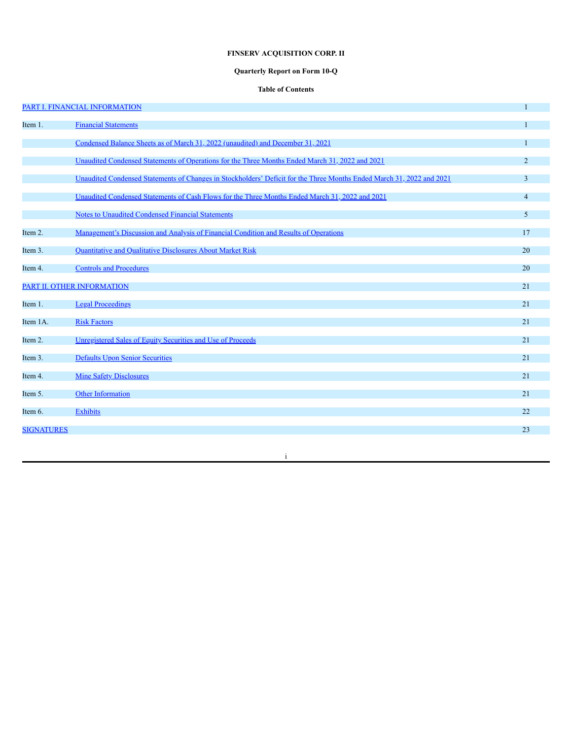# **FINSERV ACQUISITION CORP. II**

# **Quarterly Report on Form 10-Q**

# **Table of Contents**

|                   | PART I. FINANCIAL INFORMATION                                                                                         | $\mathbf{1}$   |
|-------------------|-----------------------------------------------------------------------------------------------------------------------|----------------|
| Item 1.           | <b>Financial Statements</b>                                                                                           |                |
|                   | Condensed Balance Sheets as of March 31, 2022 (unaudited) and December 31, 2021                                       | $\mathbf{1}$   |
|                   | Unaudited Condensed Statements of Operations for the Three Months Ended March 31, 2022 and 2021                       | $\overline{2}$ |
|                   | Unaudited Condensed Statements of Changes in Stockholders' Deficit for the Three Months Ended March 31, 2022 and 2021 | 3              |
|                   | Unaudited Condensed Statements of Cash Flows for the Three Months Ended March 31, 2022 and 2021                       | $\overline{4}$ |
|                   | Notes to Unaudited Condensed Financial Statements                                                                     | 5              |
| Item 2.           | Management's Discussion and Analysis of Financial Condition and Results of Operations                                 | 17             |
| Item 3.           | Quantitative and Qualitative Disclosures About Market Risk                                                            | 20             |
| Item 4.           | <b>Controls and Procedures</b>                                                                                        | 20             |
|                   | PART II. OTHER INFORMATION                                                                                            | 21             |
| Item 1.           | <b>Legal Proceedings</b>                                                                                              | 21             |
| Item 1A.          | <b>Risk Factors</b>                                                                                                   | 21             |
| Item 2.           | Unregistered Sales of Equity Securities and Use of Proceeds                                                           | 21             |
| Item 3.           | <b>Defaults Upon Senior Securities</b>                                                                                | 21             |
| Item 4.           | <b>Mine Safety Disclosures</b>                                                                                        | 21             |
| Item 5.           | <b>Other Information</b>                                                                                              | 21             |
| Item 6.           | <b>Exhibits</b>                                                                                                       | 22             |
| <b>SIGNATURES</b> |                                                                                                                       | 23             |
|                   |                                                                                                                       |                |

i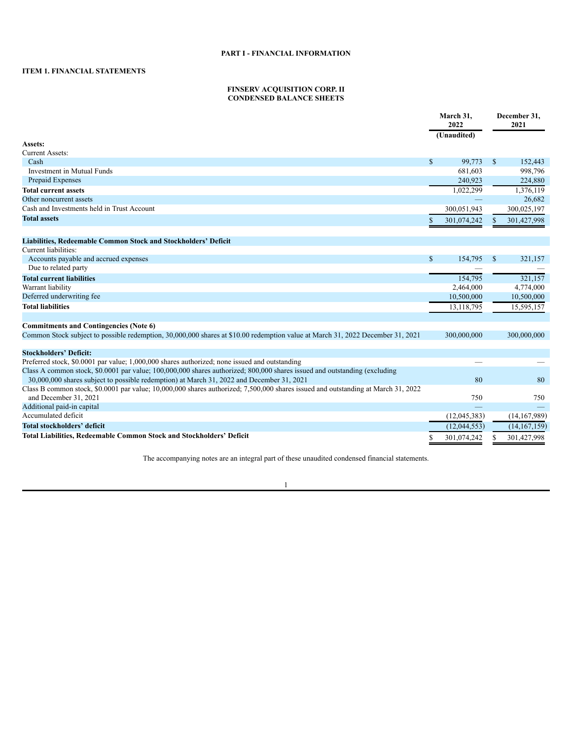# <span id="page-2-2"></span><span id="page-2-1"></span><span id="page-2-0"></span>**ITEM 1. FINANCIAL STATEMENTS**

# **FINSERV ACQUISITION CORP. II CONDENSED BALANCE SHEETS**

|                                                                                                                                                                                                                        |              | March 31,<br>2022 |              | December 31,<br>2021 |
|------------------------------------------------------------------------------------------------------------------------------------------------------------------------------------------------------------------------|--------------|-------------------|--------------|----------------------|
|                                                                                                                                                                                                                        |              | (Unaudited)       |              |                      |
| Assets:                                                                                                                                                                                                                |              |                   |              |                      |
| <b>Current Assets:</b>                                                                                                                                                                                                 |              |                   |              |                      |
| Cash                                                                                                                                                                                                                   | $\mathbb{S}$ | 99.773            | $\mathbb{S}$ | 152,443              |
| Investment in Mutual Funds                                                                                                                                                                                             |              | 681,603           |              | 998,796              |
| Prepaid Expenses                                                                                                                                                                                                       |              | 240,923           |              | 224,880              |
| <b>Total current assets</b>                                                                                                                                                                                            |              | 1,022,299         |              | 1,376,119            |
| Other noncurrent assets                                                                                                                                                                                                |              |                   |              | 26,682               |
| Cash and Investments held in Trust Account                                                                                                                                                                             |              | 300,051,943       |              | 300,025,197          |
| <b>Total assets</b>                                                                                                                                                                                                    | S            | 301,074,242       | <sup>S</sup> | 301,427,998          |
| Liabilities, Redeemable Common Stock and Stockholders' Deficit                                                                                                                                                         |              |                   |              |                      |
| Current liabilities:                                                                                                                                                                                                   |              |                   |              |                      |
| Accounts payable and accrued expenses                                                                                                                                                                                  | $\mathbb{S}$ | 154,795           | $\mathbb{S}$ | 321,157              |
| Due to related party                                                                                                                                                                                                   |              |                   |              |                      |
| <b>Total current liabilities</b>                                                                                                                                                                                       |              | 154,795           |              | 321,157              |
| Warrant liability                                                                                                                                                                                                      |              | 2,464,000         |              | 4,774,000            |
| Deferred underwriting fee                                                                                                                                                                                              |              | 10,500,000        |              | 10,500,000           |
| <b>Total liabilities</b>                                                                                                                                                                                               |              | 13,118,795        |              | 15,595,157           |
|                                                                                                                                                                                                                        |              |                   |              |                      |
| <b>Commitments and Contingencies (Note 6)</b>                                                                                                                                                                          |              |                   |              |                      |
| Common Stock subject to possible redemption, 30,000,000 shares at \$10.00 redemption value at March 31, 2022 December 31, 2021                                                                                         |              | 300,000,000       |              | 300,000,000          |
| <b>Stockholders' Deficit:</b>                                                                                                                                                                                          |              |                   |              |                      |
| Preferred stock, \$0.0001 par value; 1,000,000 shares authorized; none issued and outstanding                                                                                                                          |              |                   |              |                      |
| Class A common stock, \$0.0001 par value; 100,000,000 shares authorized; 800,000 shares issued and outstanding (excluding<br>30,000,000 shares subject to possible redemption) at March 31, 2022 and December 31, 2021 |              | 80                |              | 80                   |
| Class B common stock, \$0,0001 par value; 10,000,000 shares authorized; 7,500,000 shares issued and outstanding at March 31, 2022                                                                                      |              |                   |              |                      |
| and December 31, 2021                                                                                                                                                                                                  |              | 750               |              | 750                  |
| Additional paid-in capital                                                                                                                                                                                             |              |                   |              |                      |
| Accumulated deficit                                                                                                                                                                                                    |              | (12,045,383)      |              | (14, 167, 989)       |
| Total stockholders' deficit                                                                                                                                                                                            |              | (12,044,553)      |              | (14, 167, 159)       |
| <b>Total Liabilities, Redeemable Common Stock and Stockholders' Deficit</b>                                                                                                                                            |              | 301,074,242       |              |                      |
|                                                                                                                                                                                                                        |              |                   |              | 301,427,998          |

The accompanying notes are an integral part of these unaudited condensed financial statements.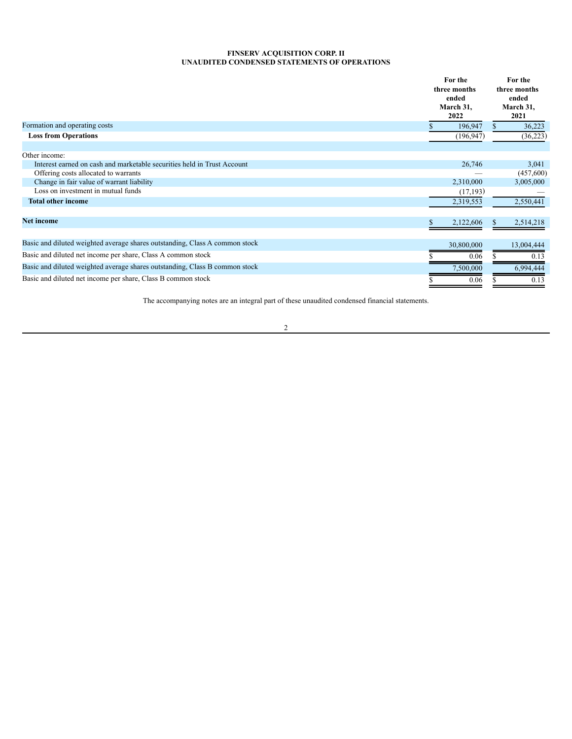# **FINSERV ACQUISITION CORP. II UNAUDITED CONDENSED STATEMENTS OF OPERATIONS**

<span id="page-3-0"></span>

|                                                                             | For the<br>three months<br>ended<br>March 31,<br>2022 | For the<br>three months<br>ended<br>March 31,<br>2021 |
|-----------------------------------------------------------------------------|-------------------------------------------------------|-------------------------------------------------------|
| Formation and operating costs                                               | 196,947                                               | 36,223                                                |
| <b>Loss from Operations</b>                                                 | (196, 947)                                            | (36,223)                                              |
| Other income:                                                               |                                                       |                                                       |
| Interest earned on cash and marketable securities held in Trust Account     | 26,746                                                | 3,041                                                 |
| Offering costs allocated to warrants                                        |                                                       | (457,600)                                             |
| Change in fair value of warrant liability                                   | 2,310,000                                             | 3,005,000                                             |
| Loss on investment in mutual funds                                          | (17, 193)                                             |                                                       |
| <b>Total other income</b>                                                   | 2,319,553                                             | 2,550,441                                             |
| <b>Net income</b>                                                           | 2,122,606                                             | 2,514,218<br>S.                                       |
| Basic and diluted weighted average shares outstanding, Class A common stock | 30,800,000                                            | 13,004,444                                            |
| Basic and diluted net income per share, Class A common stock                | 0.06                                                  | 0.13                                                  |
| Basic and diluted weighted average shares outstanding, Class B common stock | 7,500,000                                             | 6,994,444                                             |
| Basic and diluted net income per share, Class B common stock                | 0.06                                                  | 0.13                                                  |

The accompanying notes are an integral part of these unaudited condensed financial statements.

# 2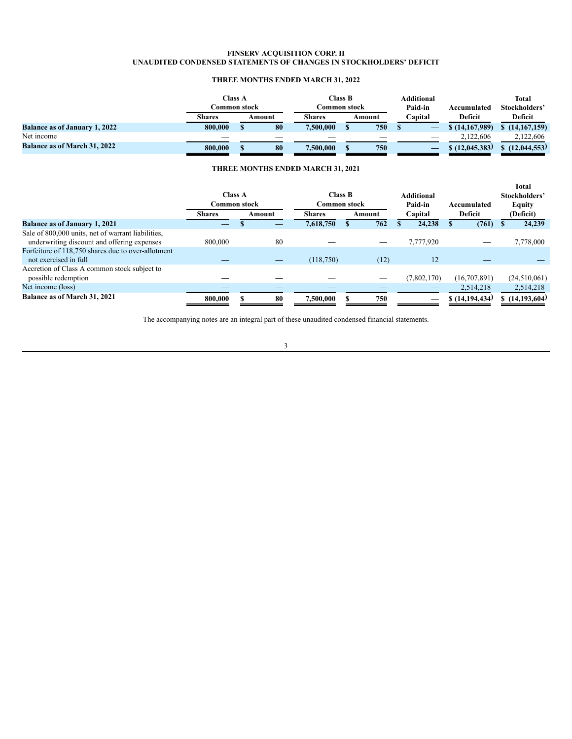# **FINSERV ACQUISITION CORP. II UNAUDITED CONDENSED STATEMENTS OF CHANGES IN STOCKHOLDERS' DEFICIT**

# **THREE MONTHS ENDED MARCH 31, 2022**

<span id="page-4-0"></span>

|                                      | Class A<br>Common stock |  | Common stock | <b>Class B</b> |  | Additional<br>Paid-in | Accumulated | Total<br>Stockholders' |                |
|--------------------------------------|-------------------------|--|--------------|----------------|--|-----------------------|-------------|------------------------|----------------|
|                                      | Shares                  |  | Amount       | <b>Shares</b>  |  | Amount                | Capital     | Deficit                | Deficit        |
| <b>Balance as of January 1, 2022</b> | 800,000                 |  | 80           | 7,500,000      |  | 750                   |             | \$(14,167,989)         | \$(14,167,159) |
| Net income                           |                         |  |              |                |  |                       |             | 2,122,606              | 2.122.606      |
| <b>Balance as of March 31, 2022</b>  | 800,000                 |  | 80           | 7,500,000      |  | 750                   |             | \$(12, 045, 383)       | (12.044.553)   |

# **THREE MONTHS ENDED MARCH 31, 2021**

|                                                                                                   | <b>Class A</b><br>Common stock |  | <b>Class B</b><br><b>Common stock</b> |               | <b>Additional</b><br>Paid-in | Accumulated | <b>Total</b><br>Stockholders'<br><b>Equity</b> |                |  |
|---------------------------------------------------------------------------------------------------|--------------------------------|--|---------------------------------------|---------------|------------------------------|-------------|------------------------------------------------|----------------|--|
|                                                                                                   | <b>Shares</b>                  |  | Amount                                | <b>Shares</b> | Amount                       | Capital     | Deficit                                        | (Deficit)      |  |
| <b>Balance as of January 1, 2021</b>                                                              |                                |  |                                       | 7,618,750     | 762                          | 24,238      | (761)                                          | 24,239         |  |
| Sale of 800,000 units, net of warrant liabilities,<br>underwriting discount and offering expenses | 800,000                        |  | 80                                    |               |                              | 7,777,920   |                                                | 7,778,000      |  |
| Forfeiture of 118,750 shares due to over-allotment<br>not exercised in full                       |                                |  |                                       | (118,750)     | (12)                         | 12          |                                                |                |  |
| Accretion of Class A common stock subject to<br>possible redemption                               |                                |  |                                       |               |                              | (7,802,170) | (16,707,891)                                   | (24,510,061)   |  |
| Net income (loss)                                                                                 |                                |  |                                       |               |                              | –           | 2.514.218                                      | 2,514,218      |  |
| Balance as of March 31, 2021                                                                      | 800,000                        |  | 80                                    | 7,500,000     | 750                          | –           | \$(14,194,434)                                 | \$(14,193,604) |  |

The accompanying notes are an integral part of these unaudited condensed financial statements.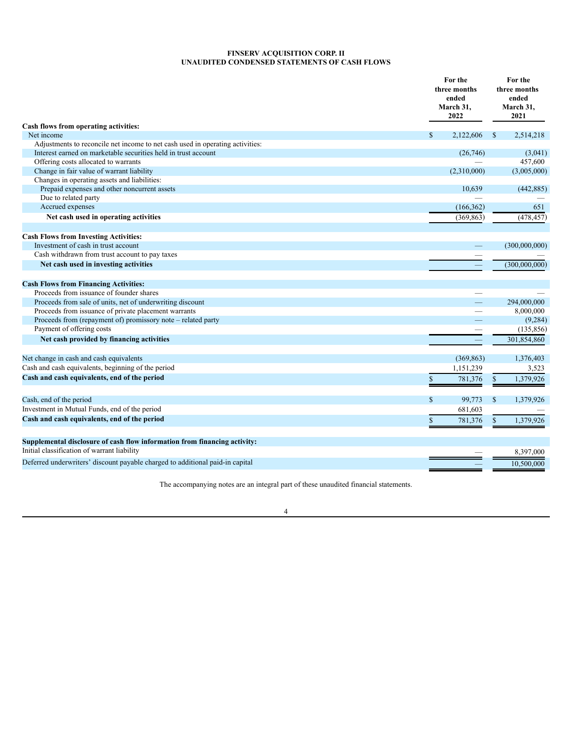# **FINSERV ACQUISITION CORP. II UNAUDITED CONDENSED STATEMENTS OF CASH FLOWS**

<span id="page-5-0"></span>

| Cash flows from operating activities:                                               |              | For the<br>three months<br>ended<br>March 31,<br>2022 |              | For the<br>three months<br>ended<br>March 31,<br>2021 |  |
|-------------------------------------------------------------------------------------|--------------|-------------------------------------------------------|--------------|-------------------------------------------------------|--|
| Net income                                                                          | $\mathbb{S}$ | 2,122,606                                             | $\mathbf{s}$ | 2,514,218                                             |  |
| Adjustments to reconcile net income to net cash used in operating activities:       |              |                                                       |              |                                                       |  |
| Interest earned on marketable securities held in trust account                      |              | (26,746)                                              |              | (3,041)                                               |  |
| Offering costs allocated to warrants                                                |              |                                                       |              | 457,600                                               |  |
| Change in fair value of warrant liability                                           |              | (2,310,000)                                           |              | (3,005,000)                                           |  |
| Changes in operating assets and liabilities:                                        |              |                                                       |              |                                                       |  |
| Prepaid expenses and other noncurrent assets                                        |              | 10,639                                                |              | (442, 885)                                            |  |
| Due to related party                                                                |              |                                                       |              |                                                       |  |
| Accrued expenses                                                                    |              | (166, 362)                                            |              | 651                                                   |  |
| Net cash used in operating activities                                               |              | (369, 863)                                            |              | (478, 457)                                            |  |
|                                                                                     |              |                                                       |              |                                                       |  |
|                                                                                     |              |                                                       |              |                                                       |  |
| <b>Cash Flows from Investing Activities:</b><br>Investment of cash in trust account |              |                                                       |              | (300,000,000)                                         |  |
| Cash withdrawn from trust account to pay taxes                                      |              |                                                       |              |                                                       |  |
|                                                                                     |              |                                                       |              |                                                       |  |
| Net cash used in investing activities                                               |              |                                                       |              | (300,000,000)                                         |  |
| <b>Cash Flows from Financing Activities:</b>                                        |              |                                                       |              |                                                       |  |
| Proceeds from issuance of founder shares                                            |              |                                                       |              |                                                       |  |
| Proceeds from sale of units, net of underwriting discount                           |              |                                                       |              | 294,000,000                                           |  |
| Proceeds from issuance of private placement warrants                                |              |                                                       |              | 8,000,000                                             |  |
| Proceeds from (repayment of) promissory note – related party                        |              |                                                       |              | (9, 284)                                              |  |
| Payment of offering costs                                                           |              |                                                       |              | (135, 856)                                            |  |
| Net cash provided by financing activities                                           |              |                                                       |              | 301,854,860                                           |  |
| Net change in cash and cash equivalents                                             |              | (369, 863)                                            |              | 1,376,403                                             |  |
| Cash and cash equivalents, beginning of the period                                  |              | 1,151,239                                             |              | 3,523                                                 |  |
| Cash and cash equivalents, end of the period                                        |              |                                                       |              |                                                       |  |
|                                                                                     | \$           | 781,376                                               | \$           | 1,379,926                                             |  |
| Cash, end of the period                                                             | \$           | 99,773                                                | \$           | 1,379,926                                             |  |
| Investment in Mutual Funds, end of the period                                       |              | 681,603                                               |              |                                                       |  |
| Cash and cash equivalents, end of the period                                        | \$           | 781,376                                               | \$           | 1,379,926                                             |  |
|                                                                                     |              |                                                       |              |                                                       |  |
| Supplemental disclosure of cash flow information from financing activity:           |              |                                                       |              |                                                       |  |
| Initial classification of warrant liability                                         |              |                                                       |              | 8,397,000                                             |  |
| Deferred underwriters' discount payable charged to additional paid-in capital       |              |                                                       |              | 10,500,000                                            |  |

The accompanying notes are an integral part of these unaudited financial statements.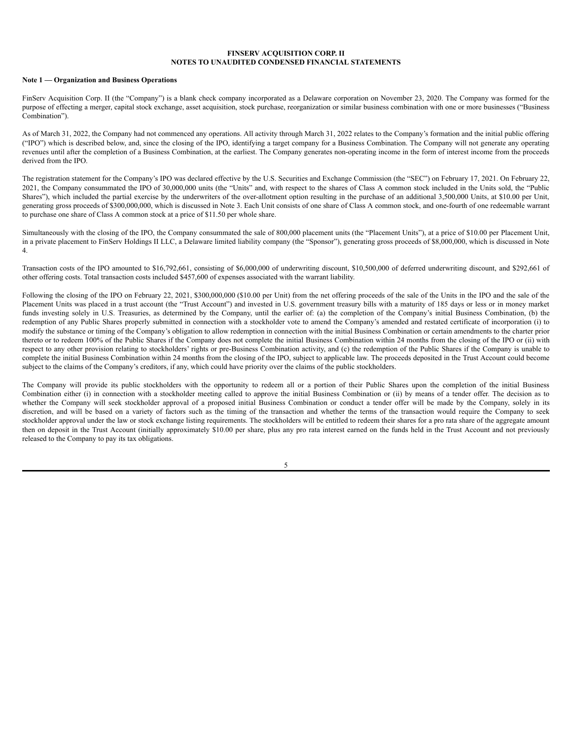## **FINSERV ACQUISITION CORP. II NOTES TO UNAUDITED CONDENSED FINANCIAL STATEMENTS**

#### <span id="page-6-0"></span>**Note 1 — Organization and Business Operations**

FinServ Acquisition Corp. II (the "Company") is a blank check company incorporated as a Delaware corporation on November 23, 2020. The Company was formed for the purpose of effecting a merger, capital stock exchange, asset acquisition, stock purchase, reorganization or similar business combination with one or more businesses ("Business Combination").

As of March 31, 2022, the Company had not commenced any operations. All activity through March 31, 2022 relates to the Company's formation and the initial public offering ("IPO") which is described below, and, since the closing of the IPO, identifying a target company for a Business Combination. The Company will not generate any operating revenues until after the completion of a Business Combination, at the earliest. The Company generates non-operating income in the form of interest income from the proceeds derived from the IPO.

The registration statement for the Company's IPO was declared effective by the U.S. Securities and Exchange Commission (the "SEC") on February 17, 2021. On February 22, 2021, the Company consummated the IPO of 30,000,000 units (the "Units" and, with respect to the shares of Class A common stock included in the Units sold, the "Public Shares"), which included the partial exercise by the underwriters of the over-allotment option resulting in the purchase of an additional 3,500,000 Units, at \$10.00 per Unit, generating gross proceeds of \$300,000,000, which is discussed in Note 3. Each Unit consists of one share of Class A common stock, and one-fourth of one redeemable warrant to purchase one share of Class A common stock at a price of \$11.50 per whole share.

Simultaneously with the closing of the IPO, the Company consummated the sale of 800,000 placement units (the "Placement Units"), at a price of \$10.00 per Placement Unit, in a private placement to FinServ Holdings II LLC, a Delaware limited liability company (the "Sponsor"), generating gross proceeds of \$8,000,000, which is discussed in Note 4.

Transaction costs of the IPO amounted to \$16,792,661, consisting of \$6,000,000 of underwriting discount, \$10,500,000 of deferred underwriting discount, and \$292,661 of other offering costs. Total transaction costs included \$457,600 of expenses associated with the warrant liability.

Following the closing of the IPO on February 22, 2021, \$300,000,000 (\$10.00 per Unit) from the net offering proceeds of the sale of the Units in the IPO and the sale of the Placement Units was placed in a trust account (the "Trust Account") and invested in U.S. government treasury bills with a maturity of 185 days or less or in money market funds investing solely in U.S. Treasuries, as determined by the Company, until the earlier of: (a) the completion of the Company's initial Business Combination, (b) the redemption of any Public Shares properly submitted in connection with a stockholder vote to amend the Company's amended and restated certificate of incorporation (i) to modify the substance or timing of the Company's obligation to allow redemption in connection with the initial Business Combination or certain amendments to the charter prior thereto or to redeem 100% of the Public Shares if the Company does not complete the initial Business Combination within 24 months from the closing of the IPO or (ii) with respect to any other provision relating to stockholders' rights or pre-Business Combination activity, and (c) the redemption of the Public Shares if the Company is unable to complete the initial Business Combination within 24 months from the closing of the IPO, subject to applicable law. The proceeds deposited in the Trust Account could become subject to the claims of the Company's creditors, if any, which could have priority over the claims of the public stockholders.

The Company will provide its public stockholders with the opportunity to redeem all or a portion of their Public Shares upon the completion of the initial Business Combination either (i) in connection with a stockholder meeting called to approve the initial Business Combination or (ii) by means of a tender offer. The decision as to whether the Company will seek stockholder approval of a proposed initial Business Combination or conduct a tender offer will be made by the Company, solely in its discretion, and will be based on a variety of factors such as the timing of the transaction and whether the terms of the transaction would require the Company to seek stockholder approval under the law or stock exchange listing requirements. The stockholders will be entitled to redeem their shares for a pro rata share of the aggregate amount then on deposit in the Trust Account (initially approximately \$10.00 per share, plus any pro rata interest earned on the funds held in the Trust Account and not previously released to the Company to pay its tax obligations.

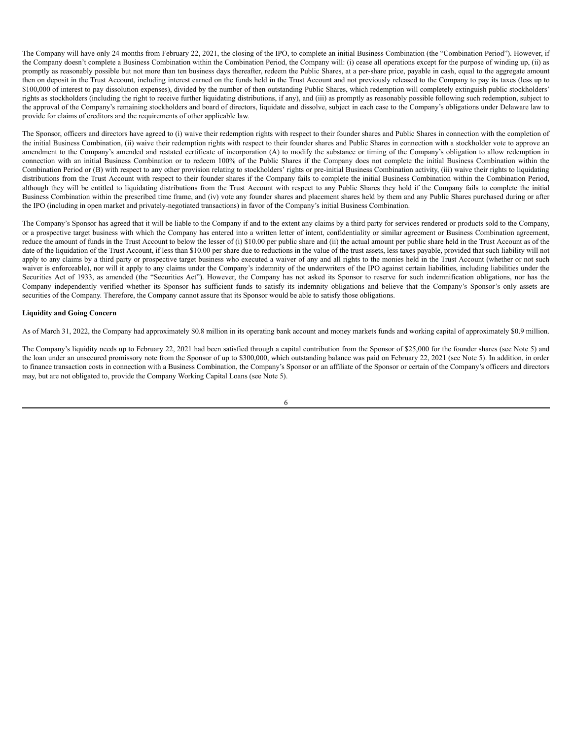The Company will have only 24 months from February 22, 2021, the closing of the IPO, to complete an initial Business Combination (the "Combination Period"). However, if the Company doesn't complete a Business Combination within the Combination Period, the Company will: (i) cease all operations except for the purpose of winding up, (ii) as promptly as reasonably possible but not more than ten business days thereafter, redeem the Public Shares, at a per-share price, payable in cash, equal to the aggregate amount then on deposit in the Trust Account, including interest earned on the funds held in the Trust Account and not previously released to the Company to pay its taxes (less up to \$100,000 of interest to pay dissolution expenses), divided by the number of then outstanding Public Shares, which redemption will completely extinguish public stockholders' rights as stockholders (including the right to receive further liquidating distributions, if any), and (iii) as promptly as reasonably possible following such redemption, subject to the approval of the Company's remaining stockholders and board of directors, liquidate and dissolve, subject in each case to the Company's obligations under Delaware law to provide for claims of creditors and the requirements of other applicable law.

The Sponsor, officers and directors have agreed to (i) waive their redemption rights with respect to their founder shares and Public Shares in connection with the completion of the initial Business Combination, (ii) waive their redemption rights with respect to their founder shares and Public Shares in connection with a stockholder vote to approve an amendment to the Company's amended and restated certificate of incorporation (A) to modify the substance or timing of the Company's obligation to allow redemption in connection with an initial Business Combination or to redeem 100% of the Public Shares if the Company does not complete the initial Business Combination within the Combination Period or (B) with respect to any other provision relating to stockholders' rights or pre-initial Business Combination activity, (iii) waive their rights to liquidating distributions from the Trust Account with respect to their founder shares if the Company fails to complete the initial Business Combination within the Combination Period, although they will be entitled to liquidating distributions from the Trust Account with respect to any Public Shares they hold if the Company fails to complete the initial Business Combination within the prescribed time frame, and (iv) vote any founder shares and placement shares held by them and any Public Shares purchased during or after the IPO (including in open market and privately-negotiated transactions) in favor of the Company's initial Business Combination.

The Company's Sponsor has agreed that it will be liable to the Company if and to the extent any claims by a third party for services rendered or products sold to the Company, or a prospective target business with which the Company has entered into a written letter of intent, confidentiality or similar agreement or Business Combination agreement, reduce the amount of funds in the Trust Account to below the lesser of (i) \$10.00 per public share and (ii) the actual amount per public share held in the Trust Account as of the date of the liquidation of the Trust Account, if less than \$10.00 per share due to reductions in the value of the trust assets, less taxes payable, provided that such liability will not apply to any claims by a third party or prospective target business who executed a waiver of any and all rights to the monies held in the Trust Account (whether or not such waiver is enforceable), nor will it apply to any claims under the Company's indemnity of the underwriters of the IPO against certain liabilities, including liabilities under the Securities Act of 1933, as amended (the "Securities Act"). However, the Company has not asked its Sponsor to reserve for such indemnification obligations, nor has the Company independently verified whether its Sponsor has sufficient funds to satisfy its indemnity obligations and believe that the Company's Sponsor's only assets are securities of the Company. Therefore, the Company cannot assure that its Sponsor would be able to satisfy those obligations.

## **Liquidity and Going Concern**

As of March 31, 2022, the Company had approximately \$0.8 million in its operating bank account and money markets funds and working capital of approximately \$0.9 million.

The Company's liquidity needs up to February 22, 2021 had been satisfied through a capital contribution from the Sponsor of \$25,000 for the founder shares (see Note 5) and the loan under an unsecured promissory note from the Sponsor of up to \$300,000, which outstanding balance was paid on February 22, 2021 (see Note 5). In addition, in order to finance transaction costs in connection with a Business Combination, the Company's Sponsor or an affiliate of the Sponsor or certain of the Company's officers and directors may, but are not obligated to, provide the Company Working Capital Loans (see Note 5).

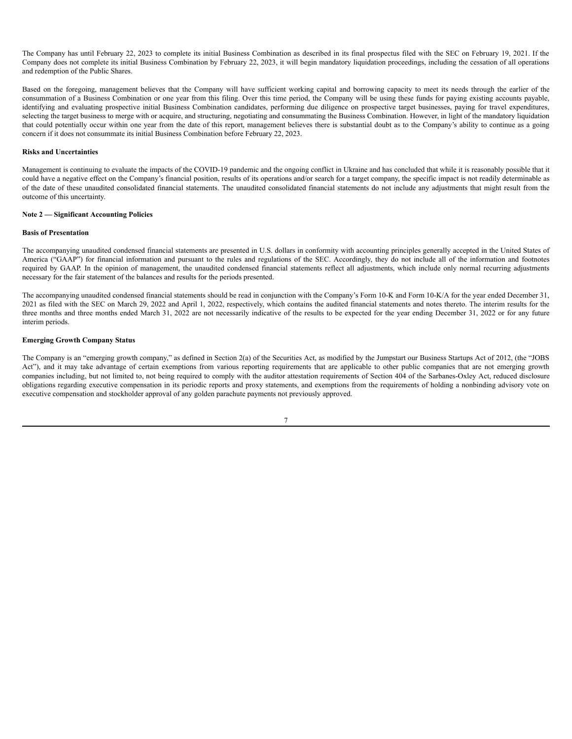The Company has until February 22, 2023 to complete its initial Business Combination as described in its final prospectus filed with the SEC on February 19, 2021. If the Company does not complete its initial Business Combination by February 22, 2023, it will begin mandatory liquidation proceedings, including the cessation of all operations and redemption of the Public Shares.

Based on the foregoing, management believes that the Company will have sufficient working capital and borrowing capacity to meet its needs through the earlier of the consummation of a Business Combination or one year from this filing. Over this time period, the Company will be using these funds for paying existing accounts payable, identifying and evaluating prospective initial Business Combination candidates, performing due diligence on prospective target businesses, paying for travel expenditures, selecting the target business to merge with or acquire, and structuring, negotiating and consummating the Business Combination. However, in light of the mandatory liquidation that could potentially occur within one year from the date of this report, management believes there is substantial doubt as to the Company's ability to continue as a going concern if it does not consummate its initial Business Combination before February 22, 2023.

# **Risks and Uncertainties**

Management is continuing to evaluate the impacts of the COVID-19 pandemic and the ongoing conflict in Ukraine and has concluded that while it is reasonably possible that it could have a negative effect on the Company's financial position, results of its operations and/or search for a target company, the specific impact is not readily determinable as of the date of these unaudited consolidated financial statements. The unaudited consolidated financial statements do not include any adjustments that might result from the outcome of this uncertainty.

# **Note 2 — Significant Accounting Policies**

#### **Basis of Presentation**

The accompanying unaudited condensed financial statements are presented in U.S. dollars in conformity with accounting principles generally accepted in the United States of America ("GAAP") for financial information and pursuant to the rules and regulations of the SEC. Accordingly, they do not include all of the information and footnotes required by GAAP. In the opinion of management, the unaudited condensed financial statements reflect all adjustments, which include only normal recurring adjustments necessary for the fair statement of the balances and results for the periods presented.

The accompanying unaudited condensed financial statements should be read in conjunction with the Company's Form 10-K and Form 10-K/A for the year ended December 31, 2021 as filed with the SEC on March 29, 2022 and April 1, 2022, respectively, which contains the audited financial statements and notes thereto. The interim results for the three months and three months ended March 31, 2022 are not necessarily indicative of the results to be expected for the year ending December 31, 2022 or for any future interim periods.

## **Emerging Growth Company Status**

The Company is an "emerging growth company," as defined in Section 2(a) of the Securities Act, as modified by the Jumpstart our Business Startups Act of 2012, (the "JOBS Act"), and it may take advantage of certain exemptions from various reporting requirements that are applicable to other public companies that are not emerging growth companies including, but not limited to, not being required to comply with the auditor attestation requirements of Section 404 of the Sarbanes-Oxley Act, reduced disclosure obligations regarding executive compensation in its periodic reports and proxy statements, and exemptions from the requirements of holding a nonbinding advisory vote on executive compensation and stockholder approval of any golden parachute payments not previously approved.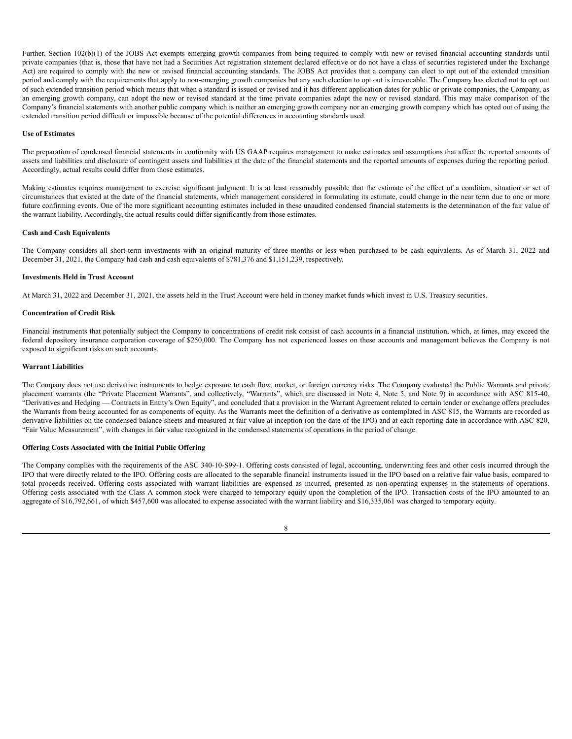Further, Section 102(b)(1) of the JOBS Act exempts emerging growth companies from being required to comply with new or revised financial accounting standards until private companies (that is, those that have not had a Securities Act registration statement declared effective or do not have a class of securities registered under the Exchange Act) are required to comply with the new or revised financial accounting standards. The JOBS Act provides that a company can elect to opt out of the extended transition period and comply with the requirements that apply to non-emerging growth companies but any such election to opt out is irrevocable. The Company has elected not to opt out of such extended transition period which means that when a standard is issued or revised and it has different application dates for public or private companies, the Company, as an emerging growth company, can adopt the new or revised standard at the time private companies adopt the new or revised standard. This may make comparison of the Company's financial statements with another public company which is neither an emerging growth company nor an emerging growth company which has opted out of using the extended transition period difficult or impossible because of the potential differences in accounting standards used.

## **Use of Estimates**

The preparation of condensed financial statements in conformity with US GAAP requires management to make estimates and assumptions that affect the reported amounts of assets and liabilities and disclosure of contingent assets and liabilities at the date of the financial statements and the reported amounts of expenses during the reporting period. Accordingly, actual results could differ from those estimates.

Making estimates requires management to exercise significant judgment. It is at least reasonably possible that the estimate of the effect of a condition, situation or set of circumstances that existed at the date of the financial statements, which management considered in formulating its estimate, could change in the near term due to one or more future confirming events. One of the more significant accounting estimates included in these unaudited condensed financial statements is the determination of the fair value of the warrant liability. Accordingly, the actual results could differ significantly from those estimates.

## **Cash and Cash Equivalents**

The Company considers all short-term investments with an original maturity of three months or less when purchased to be cash equivalents. As of March 31, 2022 and December 31, 2021, the Company had cash and cash equivalents of \$781,376 and \$1,151,239, respectively.

#### **Investments Held in Trust Account**

At March 31, 2022 and December 31, 2021, the assets held in the Trust Account were held in money market funds which invest in U.S. Treasury securities.

## **Concentration of Credit Risk**

Financial instruments that potentially subject the Company to concentrations of credit risk consist of cash accounts in a financial institution, which, at times, may exceed the federal depository insurance corporation coverage of \$250,000. The Company has not experienced losses on these accounts and management believes the Company is not exposed to significant risks on such accounts.

### **Warrant Liabilities**

The Company does not use derivative instruments to hedge exposure to cash flow, market, or foreign currency risks. The Company evaluated the Public Warrants and private placement warrants (the "Private Placement Warrants", and collectively, "Warrants", which are discussed in Note 4, Note 5, and Note 9) in accordance with ASC 815-40, "Derivatives and Hedging — Contracts in Entity's Own Equity", and concluded that a provision in the Warrant Agreement related to certain tender or exchange offers precludes the Warrants from being accounted for as components of equity. As the Warrants meet the definition of a derivative as contemplated in ASC 815, the Warrants are recorded as derivative liabilities on the condensed balance sheets and measured at fair value at inception (on the date of the IPO) and at each reporting date in accordance with ASC 820, "Fair Value Measurement", with changes in fair value recognized in the condensed statements of operations in the period of change.

## **Offering Costs Associated with the Initial Public Offering**

The Company complies with the requirements of the ASC 340-10-S99-1. Offering costs consisted of legal, accounting, underwriting fees and other costs incurred through the IPO that were directly related to the IPO. Offering costs are allocated to the separable financial instruments issued in the IPO based on a relative fair value basis, compared to total proceeds received. Offering costs associated with warrant liabilities are expensed as incurred, presented as non-operating expenses in the statements of operations. Offering costs associated with the Class A common stock were charged to temporary equity upon the completion of the IPO. Transaction costs of the IPO amounted to an aggregate of \$16,792,661, of which \$457,600 was allocated to expense associated with the warrant liability and \$16,335,061 was charged to temporary equity.

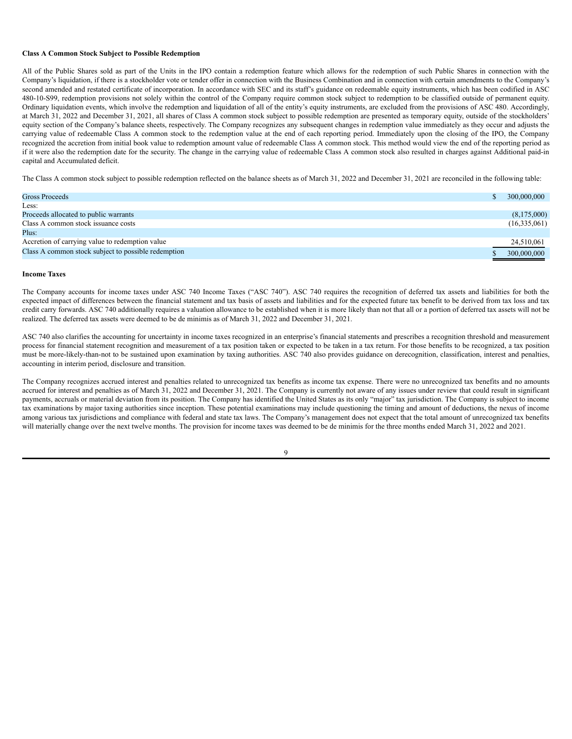#### **Class A Common Stock Subject to Possible Redemption**

All of the Public Shares sold as part of the Units in the IPO contain a redemption feature which allows for the redemption of such Public Shares in connection with the Company's liquidation, if there is a stockholder vote or tender offer in connection with the Business Combination and in connection with certain amendments to the Company's second amended and restated certificate of incorporation. In accordance with SEC and its staff's guidance on redeemable equity instruments, which has been codified in ASC 480-10-S99, redemption provisions not solely within the control of the Company require common stock subject to redemption to be classified outside of permanent equity. Ordinary liquidation events, which involve the redemption and liquidation of all of the entity's equity instruments, are excluded from the provisions of ASC 480. Accordingly, at March 31, 2022 and December 31, 2021, all shares of Class A common stock subject to possible redemption are presented as temporary equity, outside of the stockholders' equity section of the Company's balance sheets, respectively. The Company recognizes any subsequent changes in redemption value immediately as they occur and adjusts the carrying value of redeemable Class A common stock to the redemption value at the end of each reporting period. Immediately upon the closing of the IPO, the Company recognized the accretion from initial book value to redemption amount value of redeemable Class A common stock. This method would view the end of the reporting period as if it were also the redemption date for the security. The change in the carrying value of redeemable Class A common stock also resulted in charges against Additional paid-in capital and Accumulated deficit.

The Class A common stock subject to possible redemption reflected on the balance sheets as of March 31, 2022 and December 31, 2021 are reconciled in the following table:

| Gross Proceeds                                      | 300,000,000  |
|-----------------------------------------------------|--------------|
| Less:                                               |              |
| Proceeds allocated to public warrants               | (8,175,000)  |
| Class A common stock issuance costs                 | (16,335,061) |
| Plus:                                               |              |
| Accretion of carrying value to redemption value     | 24,510,061   |
| Class A common stock subject to possible redemption | 300,000,000  |

## **Income Taxes**

The Company accounts for income taxes under ASC 740 Income Taxes ("ASC 740"). ASC 740 requires the recognition of deferred tax assets and liabilities for both the expected impact of differences between the financial statement and tax basis of assets and liabilities and for the expected future tax benefit to be derived from tax loss and tax credit carry forwards. ASC 740 additionally requires a valuation allowance to be established when it is more likely than not that all or a portion of deferred tax assets will not be realized. The deferred tax assets were deemed to be de minimis as of March 31, 2022 and December 31, 2021.

ASC 740 also clarifies the accounting for uncertainty in income taxes recognized in an enterprise's financial statements and prescribes a recognition threshold and measurement process for financial statement recognition and measurement of a tax position taken or expected to be taken in a tax return. For those benefits to be recognized, a tax position must be more-likely-than-not to be sustained upon examination by taxing authorities. ASC 740 also provides guidance on derecognition, classification, interest and penalties, accounting in interim period, disclosure and transition.

The Company recognizes accrued interest and penalties related to unrecognized tax benefits as income tax expense. There were no unrecognized tax benefits and no amounts accrued for interest and penalties as of March 31, 2022 and December 31, 2021. The Company is currently not aware of any issues under review that could result in significant payments, accruals or material deviation from its position. The Company has identified the United States as its only "major" tax jurisdiction. The Company is subject to income tax examinations by major taxing authorities since inception. These potential examinations may include questioning the timing and amount of deductions, the nexus of income among various tax jurisdictions and compliance with federal and state tax laws. The Company's management does not expect that the total amount of unrecognized tax benefits will materially change over the next twelve months. The provision for income taxes was deemed to be de minimis for the three months ended March 31, 2022 and 2021.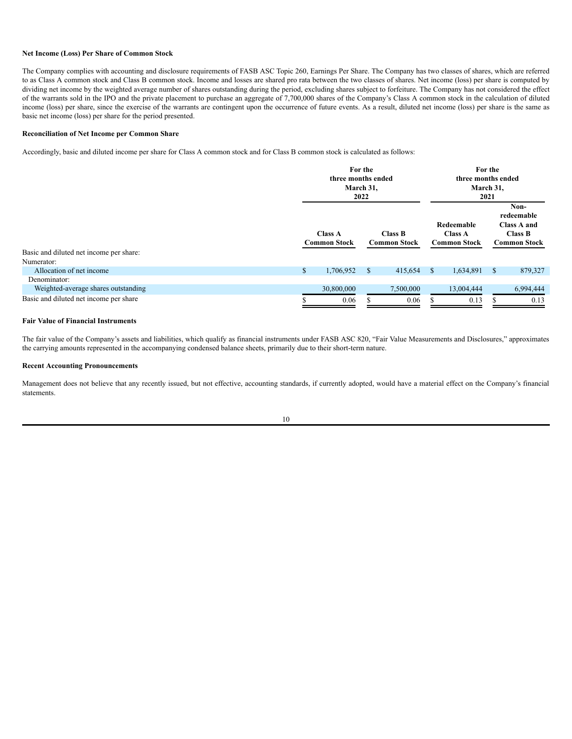## **Net Income (Loss) Per Share of Common Stock**

The Company complies with accounting and disclosure requirements of FASB ASC Topic 260, Earnings Per Share. The Company has two classes of shares, which are referred to as Class A common stock and Class B common stock. Income and losses are shared pro rata between the two classes of shares. Net income (loss) per share is computed by dividing net income by the weighted average number of shares outstanding during the period, excluding shares subject to forfeiture. The Company has not considered the effect of the warrants sold in the IPO and the private placement to purchase an aggregate of 7,700,000 shares of the Company's Class A common stock in the calculation of diluted income (loss) per share, since the exercise of the warrants are contingent upon the occurrence of future events. As a result, diluted net income (loss) per share is the same as basic net income (loss) per share for the period presented.

# **Reconciliation of Net Income per Common Share**

Accordingly, basic and diluted income per share for Class A common stock and for Class B common stock is calculated as follows:

|                                         | For the<br>three months ended<br>March 31,<br>2022 |    |                                       | For the<br>three months ended<br>March 31,<br>2021 |                                                     |              |                                                                            |
|-----------------------------------------|----------------------------------------------------|----|---------------------------------------|----------------------------------------------------|-----------------------------------------------------|--------------|----------------------------------------------------------------------------|
|                                         | <b>Class A</b><br><b>Common Stock</b>              |    | <b>Class B</b><br><b>Common Stock</b> |                                                    | Redeemable<br><b>Class A</b><br><b>Common Stock</b> |              | Non-<br>redeemable<br>Class A and<br><b>Class B</b><br><b>Common Stock</b> |
| Basic and diluted net income per share: |                                                    |    |                                       |                                                    |                                                     |              |                                                                            |
| Numerator:                              |                                                    |    |                                       |                                                    |                                                     |              |                                                                            |
| Allocation of net income                | \$<br>1,706,952                                    | \$ | 415,654                               | <sup>\$</sup>                                      | 1,634,891                                           | <sup>S</sup> | 879,327                                                                    |
| Denominator:                            |                                                    |    |                                       |                                                    |                                                     |              |                                                                            |
| Weighted-average shares outstanding     | 30,800,000                                         |    | 7,500,000                             |                                                    | 13,004,444                                          |              | 6,994,444                                                                  |
| Basic and diluted net income per share  | 0.06                                               |    | 0.06                                  |                                                    | 0.13                                                |              | 0.13                                                                       |

# **Fair Value of Financial Instruments**

The fair value of the Company's assets and liabilities, which qualify as financial instruments under FASB ASC 820, "Fair Value Measurements and Disclosures," approximates the carrying amounts represented in the accompanying condensed balance sheets, primarily due to their short-term nature.

### **Recent Accounting Pronouncements**

Management does not believe that any recently issued, but not effective, accounting standards, if currently adopted, would have a material effect on the Company's financial statements.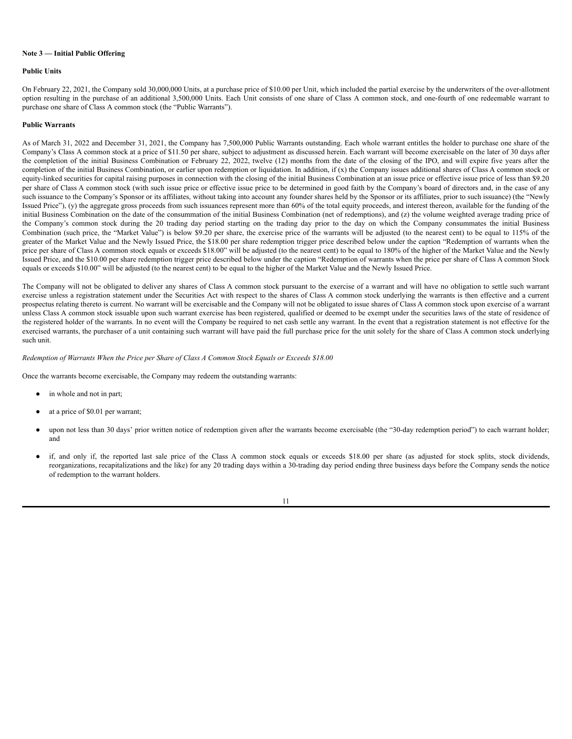### **Note 3 — Initial Public Offering**

### **Public Units**

On February 22, 2021, the Company sold 30,000,000 Units, at a purchase price of \$10.00 per Unit, which included the partial exercise by the underwriters of the over-allotment option resulting in the purchase of an additional 3,500,000 Units. Each Unit consists of one share of Class A common stock, and one-fourth of one redeemable warrant to purchase one share of Class A common stock (the "Public Warrants").

# **Public Warrants**

As of March 31, 2022 and December 31, 2021, the Company has 7,500,000 Public Warrants outstanding. Each whole warrant entitles the holder to purchase one share of the Company's Class A common stock at a price of \$11.50 per share, subject to adjustment as discussed herein. Each warrant will become exercisable on the later of 30 days after the completion of the initial Business Combination or February 22, 2022, twelve (12) months from the date of the closing of the IPO, and will expire five years after the completion of the initial Business Combination, or earlier upon redemption or liquidation. In addition, if (x) the Company issues additional shares of Class A common stock or equity-linked securities for capital raising purposes in connection with the closing of the initial Business Combination at an issue price or effective issue price of less than \$9.20 per share of Class A common stock (with such issue price or effective issue price to be determined in good faith by the Company's board of directors and, in the case of any such issuance to the Company's Sponsor or its affiliates, without taking into account any founder shares held by the Sponsor or its affiliates, prior to such issuance) (the "Newly Issued Price"), (y) the aggregate gross proceeds from such issuances represent more than 60% of the total equity proceeds, and interest thereon, available for the funding of the initial Business Combination on the date of the consummation of the initial Business Combination (net of redemptions), and (z) the volume weighted average trading price of the Company's common stock during the 20 trading day period starting on the trading day prior to the day on which the Company consummates the initial Business Combination (such price, the "Market Value") is below \$9.20 per share, the exercise price of the warrants will be adjusted (to the nearest cent) to be equal to 115% of the greater of the Market Value and the Newly Issued Price, the \$18.00 per share redemption trigger price described below under the caption "Redemption of warrants when the price per share of Class A common stock equals or exceeds \$18.00" will be adjusted (to the nearest cent) to be equal to 180% of the higher of the Market Value and the Newly Issued Price, and the \$10.00 per share redemption trigger price described below under the caption "Redemption of warrants when the price per share of Class A common Stock equals or exceeds \$10.00" will be adjusted (to the nearest cent) to be equal to the higher of the Market Value and the Newly Issued Price.

The Company will not be obligated to deliver any shares of Class A common stock pursuant to the exercise of a warrant and will have no obligation to settle such warrant exercise unless a registration statement under the Securities Act with respect to the shares of Class A common stock underlying the warrants is then effective and a current prospectus relating thereto is current. No warrant will be exercisable and the Company will not be obligated to issue shares of Class A common stock upon exercise of a warrant unless Class A common stock issuable upon such warrant exercise has been registered, qualified or deemed to be exempt under the securities laws of the state of residence of the registered holder of the warrants. In no event will the Company be required to net cash settle any warrant. In the event that a registration statement is not effective for the exercised warrants, the purchaser of a unit containing such warrant will have paid the full purchase price for the unit solely for the share of Class A common stock underlying such unit.

## *Redemption of Warrants When the Price per Share of Class A Common Stock Equals or Exceeds \$18.00*

Once the warrants become exercisable, the Company may redeem the outstanding warrants:

- in whole and not in part;
- at a price of \$0.01 per warrant;
- upon not less than 30 days' prior written notice of redemption given after the warrants become exercisable (the "30-day redemption period") to each warrant holder; and
- if, and only if, the reported last sale price of the Class A common stock equals or exceeds \$18.00 per share (as adjusted for stock splits, stock dividends, reorganizations, recapitalizations and the like) for any 20 trading days within a 30-trading day period ending three business days before the Company sends the notice of redemption to the warrant holders.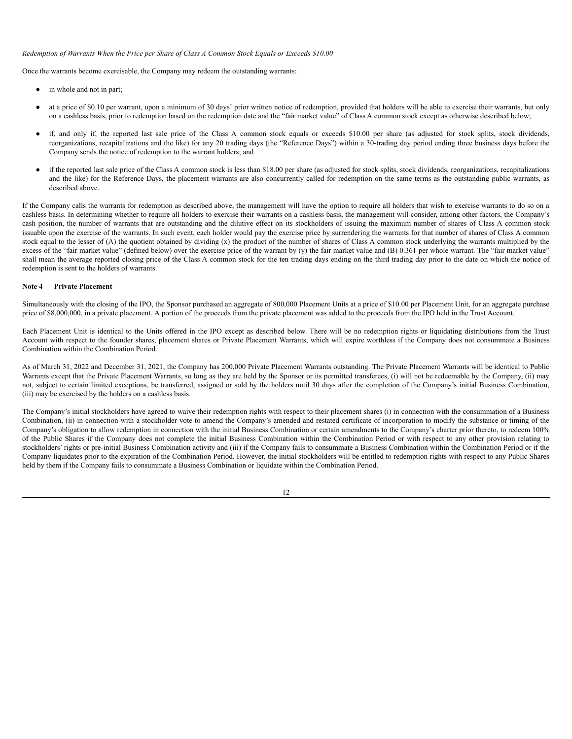## *Redemption of Warrants When the Price per Share of Class A Common Stock Equals or Exceeds \$10.00*

Once the warrants become exercisable, the Company may redeem the outstanding warrants:

- in whole and not in part;
- at a price of \$0.10 per warrant, upon a minimum of 30 days' prior written notice of redemption, provided that holders will be able to exercise their warrants, but only on a cashless basis, prior to redemption based on the redemption date and the "fair market value" of Class A common stock except as otherwise described below;
- if, and only if, the reported last sale price of the Class A common stock equals or exceeds \$10.00 per share (as adjusted for stock splits, stock dividends, reorganizations, recapitalizations and the like) for any 20 trading days (the "Reference Days") within a 30-trading day period ending three business days before the Company sends the notice of redemption to the warrant holders; and
- if the reported last sale price of the Class A common stock is less than \$18.00 per share (as adjusted for stock splits, stock dividends, recoganizations, recapitalizations and the like) for the Reference Days, the placement warrants are also concurrently called for redemption on the same terms as the outstanding public warrants, as described above.

If the Company calls the warrants for redemption as described above, the management will have the option to require all holders that wish to exercise warrants to do so on a cashless basis. In determining whether to require all holders to exercise their warrants on a cashless basis, the management will consider, among other factors, the Company's cash position, the number of warrants that are outstanding and the dilutive effect on its stockholders of issuing the maximum number of shares of Class A common stock issuable upon the exercise of the warrants. In such event, each holder would pay the exercise price by surrendering the warrants for that number of shares of Class A common stock equal to the lesser of (A) the quotient obtained by dividing (x) the product of the number of shares of Class A common stock underlying the warrants multiplied by the excess of the "fair market value" (defined below) over the exercise price of the warrant by (y) the fair market value and (B) 0.361 per whole warrant. The "fair market value" shall mean the average reported closing price of the Class A common stock for the ten trading days ending on the third trading day prior to the date on which the notice of redemption is sent to the holders of warrants.

# **Note 4 — Private Placement**

Simultaneously with the closing of the IPO, the Sponsor purchased an aggregate of 800,000 Placement Units at a price of \$10.00 per Placement Unit, for an aggregate purchase price of \$8,000,000, in a private placement. A portion of the proceeds from the private placement was added to the proceeds from the IPO held in the Trust Account.

Each Placement Unit is identical to the Units offered in the IPO except as described below. There will be no redemption rights or liquidating distributions from the Trust Account with respect to the founder shares, placement shares or Private Placement Warrants, which will expire worthless if the Company does not consummate a Business Combination within the Combination Period.

As of March 31, 2022 and December 31, 2021, the Company has 200,000 Private Placement Warrants outstanding. The Private Placement Warrants will be identical to Public Warrants except that the Private Placement Warrants, so long as they are held by the Sponsor or its permitted transferees, (i) will not be redeemable by the Company, (ii) may not, subject to certain limited exceptions, be transferred, assigned or sold by the holders until 30 days after the completion of the Company's initial Business Combination, (iii) may be exercised by the holders on a cashless basis.

The Company's initial stockholders have agreed to waive their redemption rights with respect to their placement shares (i) in connection with the consummation of a Business Combination, (ii) in connection with a stockholder vote to amend the Company's amended and restated certificate of incorporation to modify the substance or timing of the Company's obligation to allow redemption in connection with the initial Business Combination or certain amendments to the Company's charter prior thereto, to redeem 100% of the Public Shares if the Company does not complete the initial Business Combination within the Combination Period or with respect to any other provision relating to stockholders' rights or pre-initial Business Combination activity and (iii) if the Company fails to consummate a Business Combination within the Combination Period or if the Company liquidates prior to the expiration of the Combination Period. However, the initial stockholders will be entitled to redemption rights with respect to any Public Shares held by them if the Company fails to consummate a Business Combination or liquidate within the Combination Period.

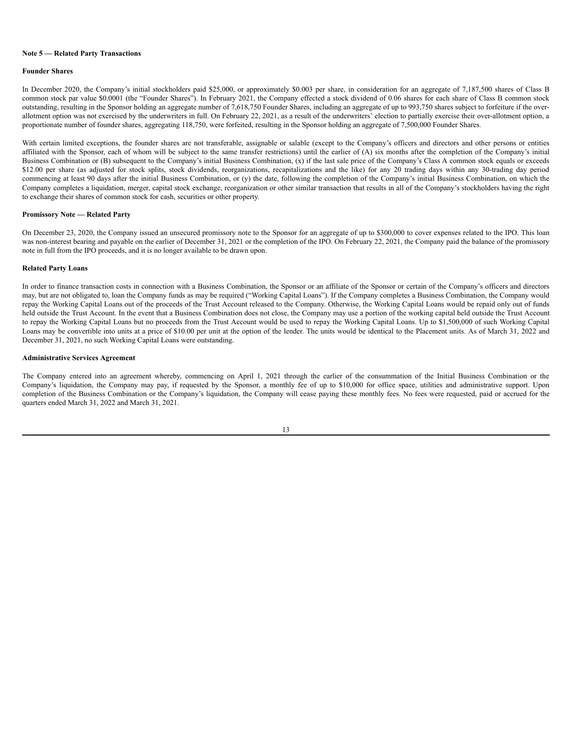#### **Note 5 — Related Party Transactions**

### **Founder Shares**

In December 2020, the Company's initial stockholders paid \$25,000, or approximately \$0.003 per share, in consideration for an aggregate of 7,187,500 shares of Class B common stock par value \$0.0001 (the "Founder Shares"). In February 2021, the Company effected a stock dividend of 0.06 shares for each share of Class B common stock outstanding, resulting in the Sponsor holding an aggregate number of 7,618,750 Founder Shares, including an aggregate of up to 993,750 shares subject to forfeiture if the overallotment option was not exercised by the underwriters in full. On February 22, 2021, as a result of the underwriters' election to partially exercise their over-allotment option, a proportionate number of founder shares, aggregating 118,750, were forfeited, resulting in the Sponsor holding an aggregate of 7,500,000 Founder Shares.

With certain limited exceptions, the founder shares are not transferable, assignable or salable (except to the Company's officers and directors and other persons or entities affiliated with the Sponsor, each of whom will be subject to the same transfer restrictions) until the earlier of (A) six months after the completion of the Company's initial Business Combination or (B) subsequent to the Company's initial Business Combination, (x) if the last sale price of the Company's Class A common stock equals or exceeds \$12.00 per share (as adjusted for stock splits, stock dividends, reorganizations, recapitalizations and the like) for any 20 trading days within any 30-trading day period commencing at least 90 days after the initial Business Combination, or (y) the date, following the completion of the Company's initial Business Combination, on which the Company completes a liquidation, merger, capital stock exchange, reorganization or other similar transaction that results in all of the Company's stockholders having the right to exchange their shares of common stock for cash, securities or other property.

# **Promissory Note — Related Party**

On December 23, 2020, the Company issued an unsecured promissory note to the Sponsor for an aggregate of up to \$300,000 to cover expenses related to the IPO. This loan was non-interest bearing and payable on the earlier of December 31, 2021 or the completion of the IPO. On February 22, 2021, the Company paid the balance of the promissory note in full from the IPO proceeds, and it is no longer available to be drawn upon.

# **Related Party Loans**

In order to finance transaction costs in connection with a Business Combination, the Sponsor or an affiliate of the Sponsor or certain of the Company's officers and directors may, but are not obligated to, loan the Company funds as may be required ("Working Capital Loans"). If the Company completes a Business Combination, the Company would repay the Working Capital Loans out of the proceeds of the Trust Account released to the Company. Otherwise, the Working Capital Loans would be repaid only out of funds held outside the Trust Account. In the event that a Business Combination does not close, the Company may use a portion of the working capital held outside the Trust Account to repay the Working Capital Loans but no proceeds from the Trust Account would be used to repay the Working Capital Loans. Up to \$1,500,000 of such Working Capital Loans may be convertible into units at a price of \$10.00 per unit at the option of the lender. The units would be identical to the Placement units. As of March 31, 2022 and December 31, 2021, no such Working Capital Loans were outstanding.

### **Administrative Services Agreement**

The Company entered into an agreement whereby, commencing on April 1, 2021 through the earlier of the consummation of the Initial Business Combination or the Company's liquidation, the Company may pay, if requested by the Sponsor, a monthly fee of up to \$10,000 for office space, utilities and administrative support. Upon completion of the Business Combination or the Company's liquidation, the Company will cease paying these monthly fees. No fees were requested, paid or accrued for the quarters ended March 31, 2022 and March 31, 2021.

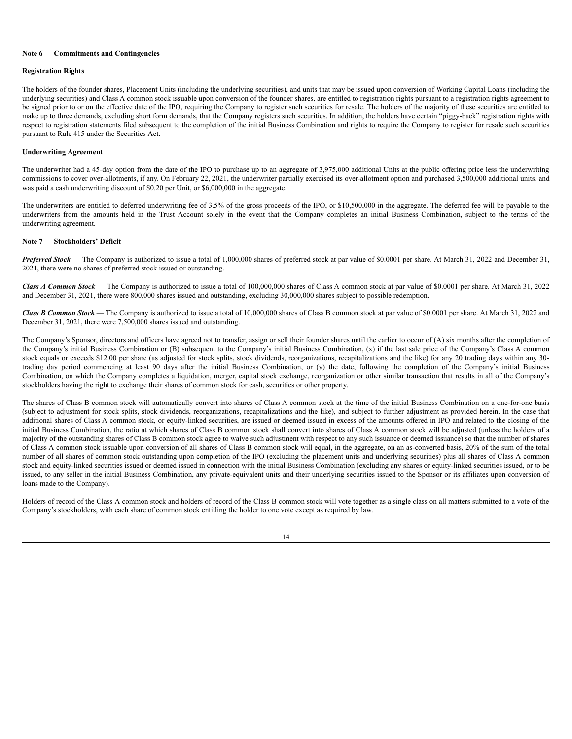### **Note 6 — Commitments and Contingencies**

## **Registration Rights**

The holders of the founder shares, Placement Units (including the underlying securities), and units that may be issued upon conversion of Working Capital Loans (including the underlying securities) and Class A common stock issuable upon conversion of the founder shares, are entitled to registration rights pursuant to a registration rights agreement to be signed prior to or on the effective date of the IPO, requiring the Company to register such securities for resale. The holders of the majority of these securities are entitled to make up to three demands, excluding short form demands, that the Company registers such securities. In addition, the holders have certain "piggy-back" registration rights with respect to registration statements filed subsequent to the completion of the initial Business Combination and rights to require the Company to register for resale such securities pursuant to Rule 415 under the Securities Act.

# **Underwriting Agreement**

The underwriter had a 45-day option from the date of the IPO to purchase up to an aggregate of 3,975,000 additional Units at the public offering price less the underwriting commissions to cover over-allotments, if any. On February 22, 2021, the underwriter partially exercised its over-allotment option and purchased 3,500,000 additional units, and was paid a cash underwriting discount of \$0.20 per Unit, or \$6,000,000 in the aggregate.

The underwriters are entitled to deferred underwriting fee of 3.5% of the gross proceeds of the IPO, or \$10,500,000 in the aggregate. The deferred fee will be payable to the underwriters from the amounts held in the Trust Account solely in the event that the Company completes an initial Business Combination, subject to the terms of the underwriting agreement.

### **Note 7 — Stockholders' Deficit**

*Preferred Stock* — The Company is authorized to issue a total of 1,000,000 shares of preferred stock at par value of \$0.0001 per share. At March 31, 2022 and December 31, 2021, there were no shares of preferred stock issued or outstanding.

*Class A Common Stock* — The Company is authorized to issue a total of 100,000,000 shares of Class A common stock at par value of \$0.0001 per share. At March 31, 2022 and December 31, 2021, there were 800,000 shares issued and outstanding, excluding 30,000,000 shares subject to possible redemption.

*Class B Common Stock* — The Company is authorized to issue a total of 10,000,000 shares of Class B common stock at par value of \$0.0001 per share. At March 31, 2022 and December 31, 2021, there were 7,500,000 shares issued and outstanding.

The Company's Sponsor, directors and officers have agreed not to transfer, assign or sell their founder shares until the earlier to occur of (A) six months after the completion of the Company's initial Business Combination or (B) subsequent to the Company's initial Business Combination, (x) if the last sale price of the Company's Class A common stock equals or exceeds \$12.00 per share (as adjusted for stock splits, stock dividends, reorganizations, recapitalizations and the like) for any 20 trading days within any 30trading day period commencing at least 90 days after the initial Business Combination, or (y) the date, following the completion of the Company's initial Business Combination, on which the Company completes a liquidation, merger, capital stock exchange, reorganization or other similar transaction that results in all of the Company's stockholders having the right to exchange their shares of common stock for cash, securities or other property.

The shares of Class B common stock will automatically convert into shares of Class A common stock at the time of the initial Business Combination on a one-for-one basis (subject to adjustment for stock splits, stock dividends, reorganizations, recapitalizations and the like), and subject to further adjustment as provided herein. In the case that additional shares of Class A common stock, or equity-linked securities, are issued or deemed issued in excess of the amounts offered in IPO and related to the closing of the initial Business Combination, the ratio at which shares of Class B common stock shall convert into shares of Class A common stock will be adjusted (unless the holders of a majority of the outstanding shares of Class B common stock agree to waive such adjustment with respect to any such issuance or deemed issuance) so that the number of shares of Class A common stock issuable upon conversion of all shares of Class B common stock will equal, in the aggregate, on an as-converted basis, 20% of the sum of the total number of all shares of common stock outstanding upon completion of the IPO (excluding the placement units and underlying securities) plus all shares of Class A common stock and equity-linked securities issued or deemed issued in connection with the initial Business Combination (excluding any shares or equity-linked securities issued, or to be issued, to any seller in the initial Business Combination, any private-equivalent units and their underlying securities issued to the Sponsor or its affiliates upon conversion of loans made to the Company).

Holders of record of the Class A common stock and holders of record of the Class B common stock will vote together as a single class on all matters submitted to a vote of the Company's stockholders, with each share of common stock entitling the holder to one vote except as required by law.

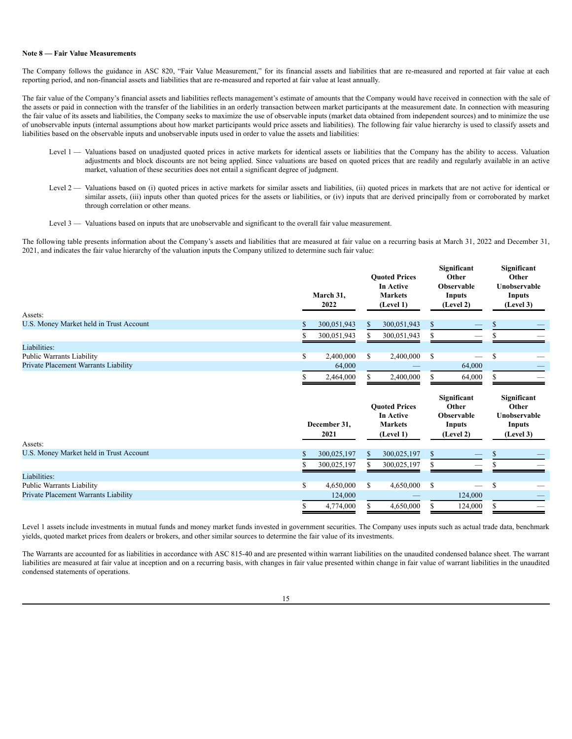#### **Note 8 — Fair Value Measurements**

The Company follows the guidance in ASC 820, "Fair Value Measurement," for its financial assets and liabilities that are re-measured and reported at fair value at each reporting period, and non-financial assets and liabilities that are re-measured and reported at fair value at least annually.

The fair value of the Company's financial assets and liabilities reflects management's estimate of amounts that the Company would have received in connection with the sale of the assets or paid in connection with the transfer of the liabilities in an orderly transaction between market participants at the measurement date. In connection with measuring the fair value of its assets and liabilities, the Company seeks to maximize the use of observable inputs (market data obtained from independent sources) and to minimize the use of unobservable inputs (internal assumptions about how market participants would price assets and liabilities). The following fair value hierarchy is used to classify assets and liabilities based on the observable inputs and unobservable inputs used in order to value the assets and liabilities:

- Level 1 Valuations based on unadjusted quoted prices in active markets for identical assets or liabilities that the Company has the ability to access. Valuation adjustments and block discounts are not being applied. Since valuations are based on quoted prices that are readily and regularly available in an active market, valuation of these securities does not entail a significant degree of judgment.
- Level 2 Valuations based on (i) quoted prices in active markets for similar assets and liabilities, (ii) quoted prices in markets that are not active for identical or similar assets, (iii) inputs other than quoted prices for the assets or liabilities, or (iv) inputs that are derived principally from or corroborated by market through correlation or other means.
- Level 3 Valuations based on inputs that are unobservable and significant to the overall fair value measurement.

The following table presents information about the Company's assets and liabilities that are measured at fair value on a recurring basis at March 31, 2022 and December 31, 2021, and indicates the fair value hierarchy of the valuation inputs the Company utilized to determine such fair value:

| Assets:                                 |    | March 31,<br>2022 |    | <b>Ouoted Prices</b><br>In Active<br><b>Markets</b><br>(Level 1) | Significant<br>Other<br><b>Observable</b><br>Inputs<br>(Level 2) | <b>Significant</b><br>Other<br>Unobservable<br>Inputs<br>(Level 3) |
|-----------------------------------------|----|-------------------|----|------------------------------------------------------------------|------------------------------------------------------------------|--------------------------------------------------------------------|
|                                         |    |                   |    |                                                                  |                                                                  |                                                                    |
| U.S. Money Market held in Trust Account |    | 300,051,943       | S. | 300,051,943                                                      |                                                                  |                                                                    |
|                                         |    | 300,051,943       | S. | 300,051,943                                                      |                                                                  |                                                                    |
| Liabilities:                            |    |                   |    |                                                                  |                                                                  |                                                                    |
| Public Warrants Liability               | J. | 2,400,000         | S  | 2,400,000                                                        | \$<br>$\hspace{0.1mm}-\hspace{0.1mm}$                            |                                                                    |
| Private Placement Warrants Liability    |    | 64,000            |    |                                                                  | 64,000                                                           |                                                                    |
|                                         |    | 2,464,000         |    | 2,400,000                                                        | 64,000                                                           |                                                                    |

| Assets:                                 | December 31,<br>2021 |    | <b>Ouoted Prices</b><br>In Active<br><b>Markets</b><br>(Level 1) |   | Significant<br>Other<br><b>Observable</b><br>Inputs<br>(Level 2) | Significant<br>Other<br>Unobservable<br>Inputs<br>(Level 3) |
|-----------------------------------------|----------------------|----|------------------------------------------------------------------|---|------------------------------------------------------------------|-------------------------------------------------------------|
| U.S. Money Market held in Trust Account | 300,025,197          | S. | 300,025,197                                                      |   |                                                                  |                                                             |
|                                         | 300,025,197          | ж. | 300,025,197                                                      |   |                                                                  |                                                             |
| Liabilities:                            |                      |    |                                                                  |   |                                                                  |                                                             |
| <b>Public Warrants Liability</b>        | 4,650,000            | \$ | 4,650,000                                                        | S |                                                                  |                                                             |
| Private Placement Warrants Liability    | 124,000              |    |                                                                  |   | 124,000                                                          |                                                             |
|                                         | 4,774,000            |    | 4,650,000                                                        |   | 124,000                                                          |                                                             |

Level 1 assets include investments in mutual funds and money market funds invested in government securities. The Company uses inputs such as actual trade data, benchmark yields, quoted market prices from dealers or brokers, and other similar sources to determine the fair value of its investments.

The Warrants are accounted for as liabilities in accordance with ASC 815-40 and are presented within warrant liabilities on the unaudited condensed balance sheet. The warrant liabilities are measured at fair value at inception and on a recurring basis, with changes in fair value presented within change in fair value of warrant liabilities in the unaudited condensed statements of operations.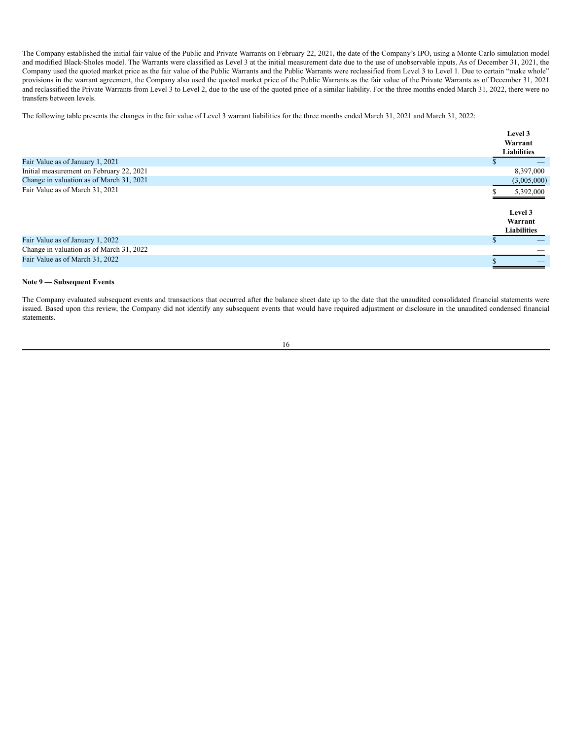The Company established the initial fair value of the Public and Private Warrants on February 22, 2021, the date of the Company's IPO, using a Monte Carlo simulation model and modified Black-Sholes model. The Warrants were classified as Level 3 at the initial measurement date due to the use of unobservable inputs. As of December 31, 2021, the Company used the quoted market price as the fair value of the Public Warrants and the Public Warrants were reclassified from Level 3 to Level 1. Due to certain "make whole" provisions in the warrant agreement, the Company also used the quoted market price of the Public Warrants as the fair value of the Private Warrants as of December 31, 2021 and reclassified the Private Warrants from Level 3 to Level 2, due to the use of the quoted price of a similar liability. For the three months ended March 31, 2022, there were no transfers between levels.

The following table presents the changes in the fair value of Level 3 warrant liabilities for the three months ended March 31, 2021 and March 31, 2022:

|                                          | Level 3                                  |  |
|------------------------------------------|------------------------------------------|--|
|                                          | Warrant                                  |  |
|                                          | <b>Liabilities</b>                       |  |
| Fair Value as of January 1, 2021         |                                          |  |
| Initial measurement on February 22, 2021 | 8,397,000                                |  |
| Change in valuation as of March 31, 2021 | (3,005,000)                              |  |
| Fair Value as of March 31, 2021          | 5,392,000                                |  |
|                                          | Level 3<br>Warrant<br><b>Liabilities</b> |  |
| Fair Value as of January 1, 2022         |                                          |  |
| Change in valuation as of March 31, 2022 |                                          |  |
| Fair Value as of March 31, 2022          |                                          |  |

# **Note 9 — Subsequent Events**

The Company evaluated subsequent events and transactions that occurred after the balance sheet date up to the date that the unaudited consolidated financial statements were issued. Based upon this review, the Company did not identify any subsequent events that would have required adjustment or disclosure in the unaudited condensed financial statements.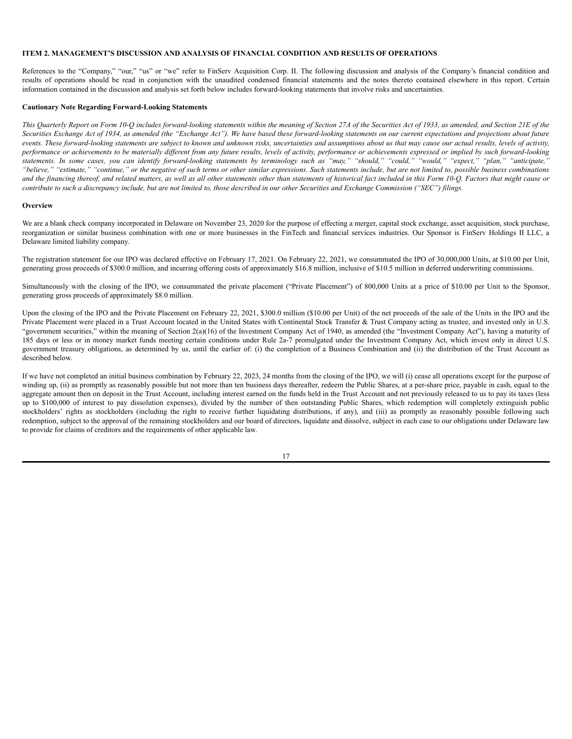# <span id="page-18-0"></span>**ITEM 2. MANAGEMENT'S DISCUSSION AND ANALYSIS OF FINANCIAL CONDITION AND RESULTS OF OPERATIONS**

References to the "Company," "our," "us" or "we" refer to FinServ Acquisition Corp. II. The following discussion and analysis of the Company's financial condition and results of operations should be read in conjunction with the unaudited condensed financial statements and the notes thereto contained elsewhere in this report. Certain information contained in the discussion and analysis set forth below includes forward-looking statements that involve risks and uncertainties.

### **Cautionary Note Regarding Forward-Looking Statements**

This Quarterly Report on Form 10-Q includes forward-looking statements within the meaning of Section 27A of the Securities Act of 1933, as amended, and Section 21E of the Securities Exchange Act of 1934, as amended (the "Exchange Act"). We have based these forward-looking statements on our current expectations and projections about future events. These forward-looking statements are subject to known and unknown risks, uncertainties and assumptions about us that may cause our actual results, levels of activity, performance or achievements to be materially different from any future results, levels of activity, performance or achievements expressed or implied by such forward-looking statements. In some cases, you can identify forward-looking statements by terminology such as "may," "should," "could," "would," "expect," "plan," "anticipate," "believe," "estimate," "continue," or the negative of such terms or other similar expressions. Such statements include, but are not limited to, possible business combinations and the financing thereof, and related matters, as well as all other statements other than statements of historical fact included in this Form 10-Q. Factors that might cause or contribute to such a discrepancy include, but are not limited to, those described in our other Securities and Exchange Commission ("SEC") filings.

# **Overview**

We are a blank check company incorporated in Delaware on November 23, 2020 for the purpose of effecting a merger, capital stock exchange, asset acquisition, stock purchase, reorganization or similar business combination with one or more businesses in the FinTech and financial services industries. Our Sponsor is FinServ Holdings II LLC, a Delaware limited liability company.

The registration statement for our IPO was declared effective on February 17, 2021. On February 22, 2021, we consummated the IPO of 30,000,000 Units, at \$10.00 per Unit, generating gross proceeds of \$300.0 million, and incurring offering costs of approximately \$16.8 million, inclusive of \$10.5 million in deferred underwriting commissions.

Simultaneously with the closing of the IPO, we consummated the private placement ("Private Placement") of 800,000 Units at a price of \$10.00 per Unit to the Sponsor, generating gross proceeds of approximately \$8.0 million.

Upon the closing of the IPO and the Private Placement on February 22, 2021, \$300.0 million (\$10.00 per Unit) of the net proceeds of the sale of the Units in the IPO and the Private Placement were placed in a Trust Account located in the United States with Continental Stock Transfer & Trust Company acting as trustee, and invested only in U.S. "government securities," within the meaning of Section 2(a)(16) of the Investment Company Act of 1940, as amended (the "Investment Company Act"), having a maturity of 185 days or less or in money market funds meeting certain conditions under Rule 2a-7 promulgated under the Investment Company Act, which invest only in direct U.S. government treasury obligations, as determined by us, until the earlier of: (i) the completion of a Business Combination and (ii) the distribution of the Trust Account as described below.

If we have not completed an initial business combination by February 22, 2023, 24 months from the closing of the IPO, we will (i) cease all operations except for the purpose of winding up, (ii) as promptly as reasonably possible but not more than ten business days thereafter, redeem the Public Shares, at a per-share price, payable in cash, equal to the aggregate amount then on deposit in the Trust Account, including interest earned on the funds held in the Trust Account and not previously released to us to pay its taxes (less up to \$100,000 of interest to pay dissolution expenses), divided by the number of then outstanding Public Shares, which redemption will completely extinguish public stockholders' rights as stockholders (including the right to receive further liquidating distributions, if any), and (iii) as promptly as reasonably possible following such redemption, subject to the approval of the remaining stockholders and our board of directors, liquidate and dissolve, subject in each case to our obligations under Delaware law to provide for claims of creditors and the requirements of other applicable law.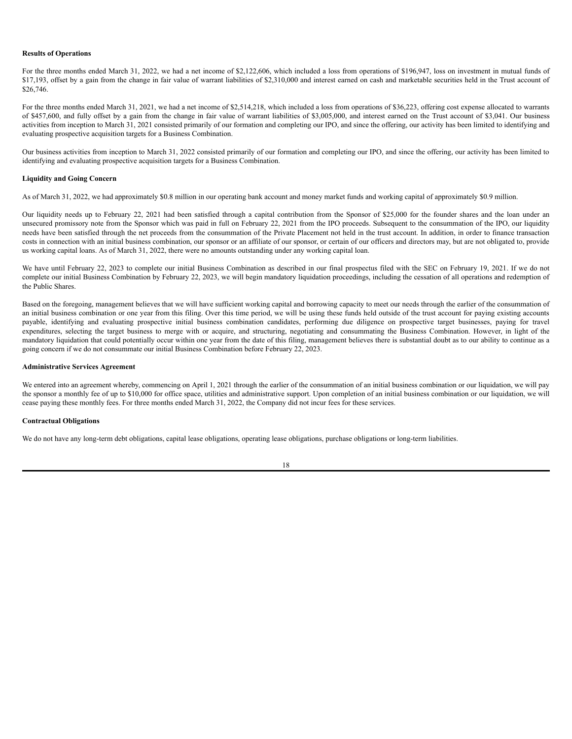### **Results of Operations**

For the three months ended March 31, 2022, we had a net income of \$2,122,606, which included a loss from operations of \$196,947, loss on investment in mutual funds of \$17,193, offset by a gain from the change in fair value of warrant liabilities of \$2,310,000 and interest earned on cash and marketable securities held in the Trust account of \$26,746.

For the three months ended March 31, 2021, we had a net income of \$2,514,218, which included a loss from operations of \$36,223, offering cost expense allocated to warrants of \$457,600, and fully offset by a gain from the change in fair value of warrant liabilities of \$3,005,000, and interest earned on the Trust account of \$3,041. Our business activities from inception to March 31, 2021 consisted primarily of our formation and completing our IPO, and since the offering, our activity has been limited to identifying and evaluating prospective acquisition targets for a Business Combination.

Our business activities from inception to March 31, 2022 consisted primarily of our formation and completing our IPO, and since the offering, our activity has been limited to identifying and evaluating prospective acquisition targets for a Business Combination.

## **Liquidity and Going Concern**

As of March 31, 2022, we had approximately \$0.8 million in our operating bank account and money market funds and working capital of approximately \$0.9 million.

Our liquidity needs up to February 22, 2021 had been satisfied through a capital contribution from the Sponsor of \$25,000 for the founder shares and the loan under an unsecured promissory note from the Sponsor which was paid in full on February 22, 2021 from the IPO proceeds. Subsequent to the consummation of the IPO, our liquidity needs have been satisfied through the net proceeds from the consummation of the Private Placement not held in the trust account. In addition, in order to finance transaction costs in connection with an initial business combination, our sponsor or an affiliate of our sponsor, or certain of our officers and directors may, but are not obligated to, provide us working capital loans. As of March 31, 2022, there were no amounts outstanding under any working capital loan.

We have until February 22, 2023 to complete our initial Business Combination as described in our final prospectus filed with the SEC on February 19, 2021. If we do not complete our initial Business Combination by February 22, 2023, we will begin mandatory liquidation proceedings, including the cessation of all operations and redemption of the Public Shares.

Based on the foregoing, management believes that we will have sufficient working capital and borrowing capacity to meet our needs through the earlier of the consummation of an initial business combination or one year from this filing. Over this time period, we will be using these funds held outside of the trust account for paying existing accounts payable, identifying and evaluating prospective initial business combination candidates, performing due diligence on prospective target businesses, paying for travel expenditures, selecting the target business to merge with or acquire, and structuring, negotiating and consummating the Business Combination. However, in light of the mandatory liquidation that could potentially occur within one year from the date of this filing, management believes there is substantial doubt as to our ability to continue as a going concern if we do not consummate our initial Business Combination before February 22, 2023.

### **Administrative Services Agreement**

We entered into an agreement whereby, commencing on April 1, 2021 through the earlier of the consummation of an initial business combination or our liquidation, we will pay the sponsor a monthly fee of up to \$10,000 for office space, utilities and administrative support. Upon completion of an initial business combination or our liquidation, we will cease paying these monthly fees. For three months ended March 31, 2022, the Company did not incur fees for these services.

## **Contractual Obligations**

We do not have any long-term debt obligations, capital lease obligations, operating lease obligations, purchase obligations or long-term liabilities.

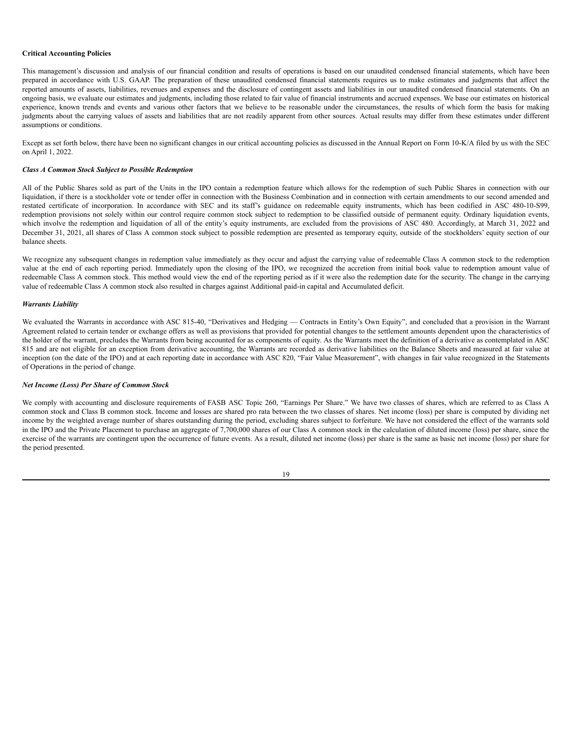## **Critical Accounting Policies**

This management's discussion and analysis of our financial condition and results of operations is based on our unaudited condensed financial statements, which have been prepared in accordance with U.S. GAAP. The preparation of these unaudited condensed financial statements requires us to make estimates and judgments that affect the reported amounts of assets, liabilities, revenues and expenses and the disclosure of contingent assets and liabilities in our unaudited condensed financial statements. On an ongoing basis, we evaluate our estimates and judgments, including those related to fair value of financial instruments and accrued expenses. We base our estimates on historical experience, known trends and events and various other factors that we believe to be reasonable under the circumstances, the results of which form the basis for making judgments about the carrying values of assets and liabilities that are not readily apparent from other sources. Actual results may differ from these estimates under different assumptions or conditions.

Except as set forth below, there have been no significant changes in our critical accounting policies as discussed in the Annual Report on Form 10-K/A filed by us with the SEC on April 1, 2022.

## *Class A Common Stock Subject to Possible Redemption*

All of the Public Shares sold as part of the Units in the IPO contain a redemption feature which allows for the redemption of such Public Shares in connection with our liquidation, if there is a stockholder vote or tender offer in connection with the Business Combination and in connection with certain amendments to our second amended and restated certificate of incorporation. In accordance with SEC and its staff's guidance on redeemable equity instruments, which has been codified in ASC 480-10-S99, redemption provisions not solely within our control require common stock subject to redemption to be classified outside of permanent equity. Ordinary liquidation events, which involve the redemption and liquidation of all of the entity's equity instruments, are excluded from the provisions of ASC 480. Accordingly, at March 31, 2022 and December 31, 2021, all shares of Class A common stock subject to possible redemption are presented as temporary equity, outside of the stockholders' equity section of our balance sheets.

We recognize any subsequent changes in redemption value immediately as they occur and adjust the carrying value of redeemable Class A common stock to the redemption value at the end of each reporting period. Immediately upon the closing of the IPO, we recognized the accretion from initial book value to redemption amount value of redeemable Class A common stock. This method would view the end of the reporting period as if it were also the redemption date for the security. The change in the carrying value of redeemable Class A common stock also resulted in charges against Additional paid-in capital and Accumulated deficit.

## *Warrants Liability*

We evaluated the Warrants in accordance with ASC 815-40, "Derivatives and Hedging — Contracts in Entity's Own Equity", and concluded that a provision in the Warrant Agreement related to certain tender or exchange offers as well as provisions that provided for potential changes to the settlement amounts dependent upon the characteristics of the holder of the warrant, precludes the Warrants from being accounted for as components of equity. As the Warrants meet the definition of a derivative as contemplated in ASC 815 and are not eligible for an exception from derivative accounting, the Warrants are recorded as derivative liabilities on the Balance Sheets and measured at fair value at inception (on the date of the IPO) and at each reporting date in accordance with ASC 820, "Fair Value Measurement", with changes in fair value recognized in the Statements of Operations in the period of change.

# *Net Income (Loss) Per Share of Common Stock*

We comply with accounting and disclosure requirements of FASB ASC Topic 260, "Earnings Per Share." We have two classes of shares, which are referred to as Class A common stock and Class B common stock. Income and losses are shared pro rata between the two classes of shares. Net income (loss) per share is computed by dividing net income by the weighted average number of shares outstanding during the period, excluding shares subject to forfeiture. We have not considered the effect of the warrants sold in the IPO and the Private Placement to purchase an aggregate of 7,700,000 shares of our Class A common stock in the calculation of diluted income (loss) per share, since the exercise of the warrants are contingent upon the occurrence of future events. As a result, diluted net income (loss) per share is the same as basic net income (loss) per share for the period presented.

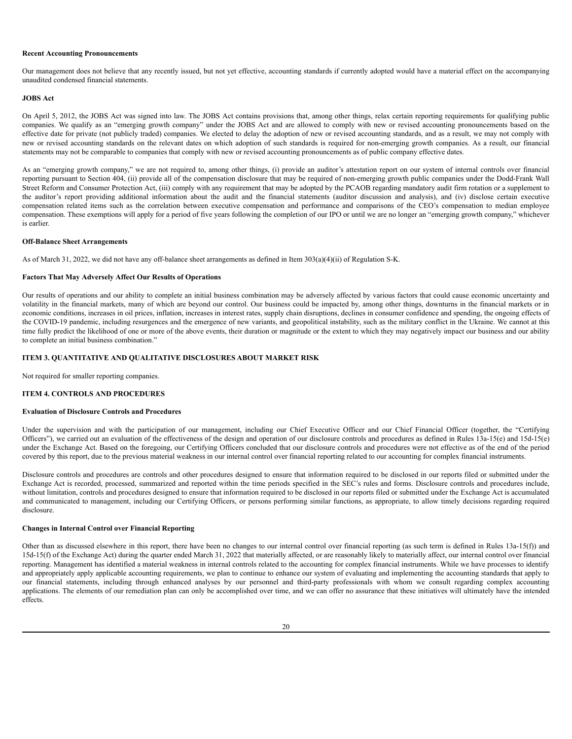#### **Recent Accounting Pronouncements**

Our management does not believe that any recently issued, but not yet effective, accounting standards if currently adopted would have a material effect on the accompanying unaudited condensed financial statements.

#### **JOBS Act**

On April 5, 2012, the JOBS Act was signed into law. The JOBS Act contains provisions that, among other things, relax certain reporting requirements for qualifying public companies. We qualify as an "emerging growth company" under the JOBS Act and are allowed to comply with new or revised accounting pronouncements based on the effective date for private (not publicly traded) companies. We elected to delay the adoption of new or revised accounting standards, and as a result, we may not comply with new or revised accounting standards on the relevant dates on which adoption of such standards is required for non-emerging growth companies. As a result, our financial statements may not be comparable to companies that comply with new or revised accounting pronouncements as of public company effective dates.

As an "emerging growth company," we are not required to, among other things, (i) provide an auditor's attestation report on our system of internal controls over financial reporting pursuant to Section 404, (ii) provide all of the compensation disclosure that may be required of non-emerging growth public companies under the Dodd-Frank Wall Street Reform and Consumer Protection Act, (iii) comply with any requirement that may be adopted by the PCAOB regarding mandatory audit firm rotation or a supplement to the auditor's report providing additional information about the audit and the financial statements (auditor discussion and analysis), and (iv) disclose certain executive compensation related items such as the correlation between executive compensation and performance and comparisons of the CEO's compensation to median employee compensation. These exemptions will apply for a period of five years following the completion of our IPO or until we are no longer an "emerging growth company," whichever is earlier.

## **Off-Balance Sheet Arrangements**

As of March 31, 2022, we did not have any off-balance sheet arrangements as defined in Item 303(a)(4)(ii) of Regulation S-K.

# **Factors That May Adversely Affect Our Results of Operations**

Our results of operations and our ability to complete an initial business combination may be adversely affected by various factors that could cause economic uncertainty and volatility in the financial markets, many of which are beyond our control. Our business could be impacted by, among other things, downturns in the financial markets or in economic conditions, increases in oil prices, inflation, increases in interest rates, supply chain disruptions, declines in consumer confidence and spending, the ongoing effects of the COVID-19 pandemic, including resurgences and the emergence of new variants, and geopolitical instability, such as the military conflict in the Ukraine. We cannot at this time fully predict the likelihood of one or more of the above events, their duration or magnitude or the extent to which they may negatively impact our business and our ability to complete an initial business combination."

## <span id="page-21-0"></span>**ITEM 3. QUANTITATIVE AND QUALITATIVE DISCLOSURES ABOUT MARKET RISK**

Not required for smaller reporting companies.

# <span id="page-21-1"></span>**ITEM 4. CONTROLS AND PROCEDURES**

### **Evaluation of Disclosure Controls and Procedures**

Under the supervision and with the participation of our management, including our Chief Executive Officer and our Chief Financial Officer (together, the "Certifying Officers"), we carried out an evaluation of the effectiveness of the design and operation of our disclosure controls and procedures as defined in Rules  $13a-15(e)$  and  $15d-15(e)$ under the Exchange Act. Based on the foregoing, our Certifying Officers concluded that our disclosure controls and procedures were not effective as of the end of the period covered by this report, due to the previous material weakness in our internal control over financial reporting related to our accounting for complex financial instruments.

Disclosure controls and procedures are controls and other procedures designed to ensure that information required to be disclosed in our reports filed or submitted under the Exchange Act is recorded, processed, summarized and reported within the time periods specified in the SEC's rules and forms. Disclosure controls and procedures include, without limitation, controls and procedures designed to ensure that information required to be disclosed in our reports filed or submitted under the Exchange Act is accumulated and communicated to management, including our Certifying Officers, or persons performing similar functions, as appropriate, to allow timely decisions regarding required disclosure.

## **Changes in Internal Control over Financial Reporting**

Other than as discussed elsewhere in this report, there have been no changes to our internal control over financial reporting (as such term is defined in Rules 13a-15(f)) and 15d-15(f) of the Exchange Act) during the quarter ended March 31, 2022 that materially affected, or are reasonably likely to materially affect, our internal control over financial reporting. Management has identified a material weakness in internal controls related to the accounting for complex financial instruments. While we have processes to identify and appropriately apply applicable accounting requirements, we plan to continue to enhance our system of evaluating and implementing the accounting standards that apply to our financial statements, including through enhanced analyses by our personnel and third-party professionals with whom we consult regarding complex accounting applications. The elements of our remediation plan can only be accomplished over time, and we can offer no assurance that these initiatives will ultimately have the intended effects.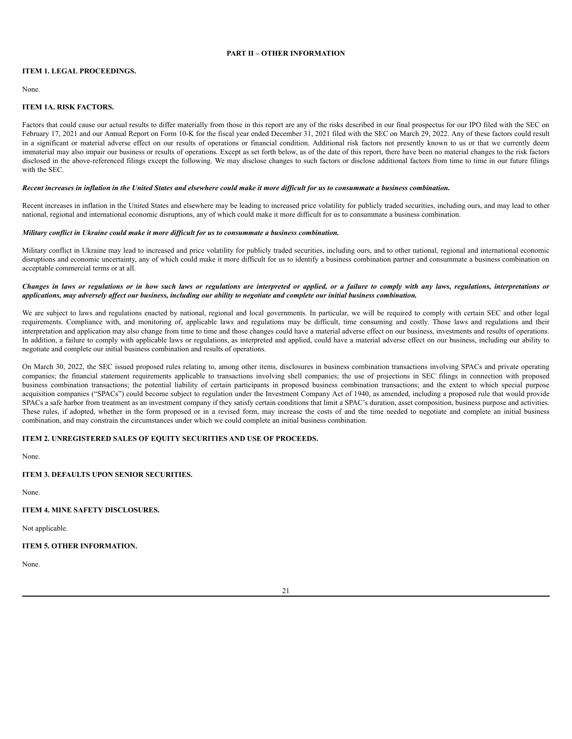# **PART II – OTHER INFORMATION**

# <span id="page-22-1"></span><span id="page-22-0"></span>**ITEM 1. LEGAL PROCEEDINGS.**

None.

# <span id="page-22-2"></span>**ITEM 1A. RISK FACTORS.**

Factors that could cause our actual results to differ materially from those in this report are any of the risks described in our final prospectus for our IPO filed with the SEC on February 17, 2021 and our Annual Report on Form 10-K for the fiscal year ended December 31, 2021 filed with the SEC on March 29, 2022. Any of these factors could result in a significant or material adverse effect on our results of operations or financial condition. Additional risk factors not presently known to us or that we currently deem immaterial may also impair our business or results of operations. Except as set forth below, as of the date of this report, there have been no material changes to the risk factors disclosed in the above-referenced filings except the following. We may disclose changes to such factors or disclose additional factors from time to time in our future filings with the SEC.

## Recent increases in inflation in the United States and elsewhere could make it more difficult for us to consummate a business combination.

Recent increases in inflation in the United States and elsewhere may be leading to increased price volatility for publicly traded securities, including ours, and may lead to other national, regional and international economic disruptions, any of which could make it more difficult for us to consummate a business combination.

# *Military conflict in Ukraine could make it more dif icult for us to consummate a business combination.*

Military conflict in Ukraine may lead to increased and price volatility for publicly traded securities, including ours, and to other national, regional and international economic disruptions and economic uncertainty, any of which could make it more difficult for us to identify a business combination partner and consummate a business combination on acceptable commercial terms or at all.

# Changes in laws or regulations or in how such laws or regulations are interpreted or applied, or a failure to comply with any laws, regulations, interpretations or applications, may adversely affect our business, including our ability to negotiate and complete our initial business combination.

We are subject to laws and regulations enacted by national, regional and local governments. In particular, we will be required to comply with certain SEC and other legal requirements. Compliance with, and monitoring of, applicable laws and regulations may be difficult, time consuming and costly. Those laws and regulations and their interpretation and application may also change from time to time and those changes could have a material adverse effect on our business, investments and results of operations. In addition, a failure to comply with applicable laws or regulations, as interpreted and applied, could have a material adverse effect on our business, including our ability to negotiate and complete our initial business combination and results of operations.

On March 30, 2022, the SEC issued proposed rules relating to, among other items, disclosures in business combination transactions involving SPACs and private operating companies; the financial statement requirements applicable to transactions involving shell companies; the use of projections in SEC filings in connection with proposed business combination transactions; the potential liability of certain participants in proposed business combination transactions; and the extent to which special purpose acquisition companies ("SPACs") could become subject to regulation under the Investment Company Act of 1940, as amended, including a proposed rule that would provide SPACs a safe harbor from treatment as an investment company if they satisfy certain conditions that limit a SPAC's duration, asset composition, business purpose and activities. These rules, if adopted, whether in the form proposed or in a revised form, may increase the costs of and the time needed to negotiate and complete an initial business combination, and may constrain the circumstances under which we could complete an initial business combination.

## <span id="page-22-3"></span>**ITEM 2. UNREGISTERED SALES OF EQUITY SECURITIES AND USE OF PROCEEDS.**

None.

# <span id="page-22-4"></span>**ITEM 3. DEFAULTS UPON SENIOR SECURITIES.**

None.

<span id="page-22-5"></span>**ITEM 4. MINE SAFETY DISCLOSURES.**

Not applicable.

# <span id="page-22-6"></span>**ITEM 5. OTHER INFORMATION.**

None.

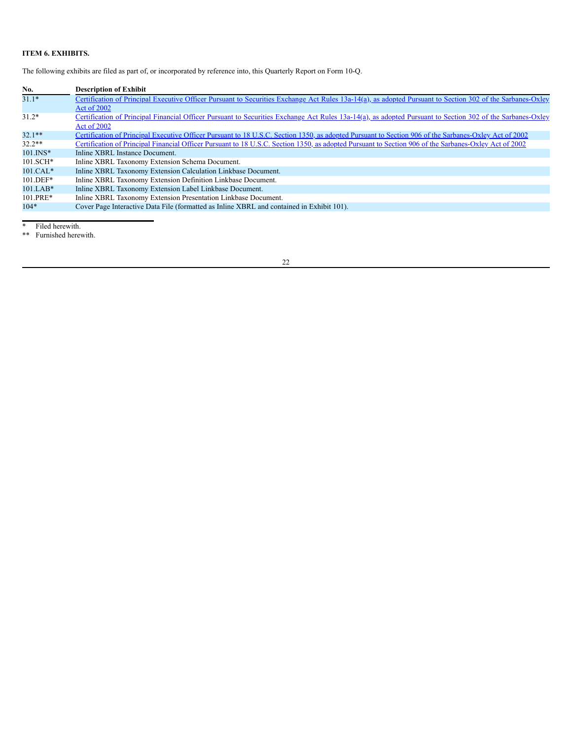# <span id="page-23-0"></span>**ITEM 6. EXHIBITS.**

The following exhibits are filed as part of, or incorporated by reference into, this Quarterly Report on Form 10-Q.

| No.          | <b>Description of Exhibit</b>                                                                                                                              |
|--------------|------------------------------------------------------------------------------------------------------------------------------------------------------------|
| $31.1*$      | Certification of Principal Executive Officer Pursuant to Securities Exchange Act Rules 13a-14(a), as adopted Pursuant to Section 302 of the Sarbanes-Oxley |
|              | Act of 2002                                                                                                                                                |
| $31.2*$      | Certification of Principal Financial Officer Pursuant to Securities Exchange Act Rules 13a-14(a), as adopted Pursuant to Section 302 of the Sarbanes-Oxley |
|              | Act of 2002                                                                                                                                                |
| $32.1**$     | Certification of Principal Executive Officer Pursuant to 18 U.S.C. Section 1350, as adopted Pursuant to Section 906 of the Sarbanes-Oxley Act of 2002      |
| $32.2**$     | Certification of Principal Financial Officer Pursuant to 18 U.S.C. Section 1350, as adopted Pursuant to Section 906 of the Sarbanes-Oxley Act of 2002      |
| $101$ . INS* | Inline XBRL Instance Document.                                                                                                                             |
| $101.SCH*$   | Inline XBRL Taxonomy Extension Schema Document.                                                                                                            |
| $101.CAL*$   | Inline XBRL Taxonomy Extension Calculation Linkbase Document.                                                                                              |
| $101.$ DEF*  | Inline XBRL Taxonomy Extension Definition Linkbase Document.                                                                                               |
| $101.LAB*$   | Inline XBRL Taxonomy Extension Label Linkbase Document.                                                                                                    |
| $101.PRE*$   | Inline XBRL Taxonomy Extension Presentation Linkbase Document.                                                                                             |
| $104*$       | Cover Page Interactive Data File (formatted as Inline XBRL and contained in Exhibit 101).                                                                  |

\* Filed herewith.

\*\* Furnished herewith.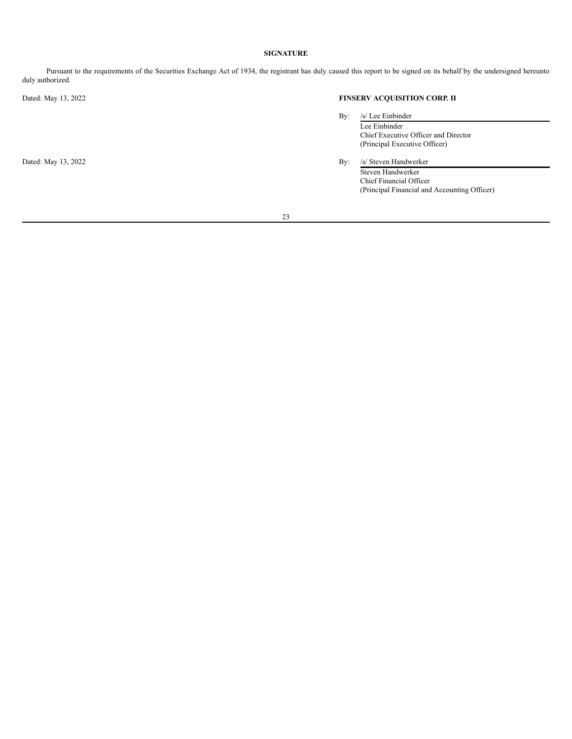# **SIGNATURE**

<span id="page-24-0"></span>Pursuant to the requirements of the Securities Exchange Act of 1934, the registrant has duly caused this report to be signed on its behalf by the undersigned hereunto duly authorized.

# Dated: May 13, 2022 **FINSERV ACQUISITION CORP. II**

| By: |  | /s/ Lee Einbinder |
|-----|--|-------------------|
|     |  |                   |

- Lee Einbinder Chief Executive Officer and Director (Principal Executive Officer)
- Dated: May 13, 2022 By: /s/ Steven Handwerker Steven Handwerker Chief Financial Officer (Principal Financial and Accounting Officer)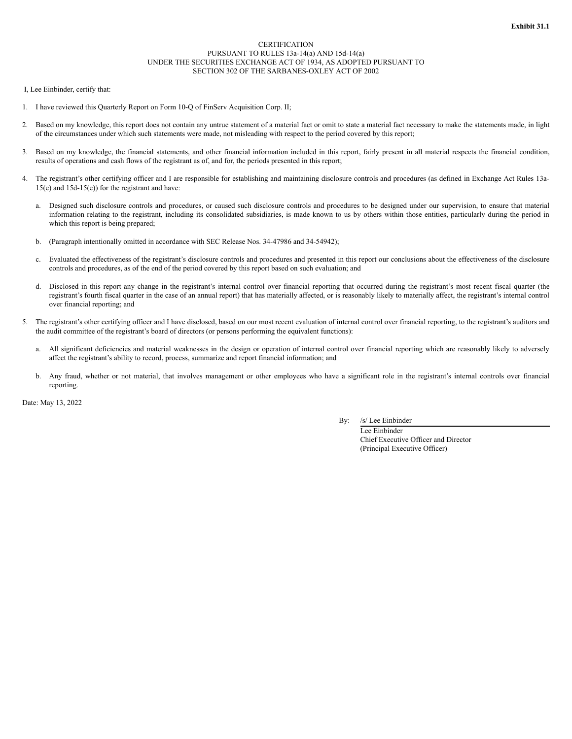# **CERTIFICATION** PURSUANT TO RULES 13a-14(a) AND 15d-14(a) UNDER THE SECURITIES EXCHANGE ACT OF 1934, AS ADOPTED PURSUANT TO SECTION 302 OF THE SARBANES-OXLEY ACT OF 2002

I, Lee Einbinder, certify that:

- 1. I have reviewed this Quarterly Report on Form 10-Q of FinServ Acquisition Corp. II;
- 2. Based on my knowledge, this report does not contain any untrue statement of a material fact or omit to state a material fact necessary to make the statements made, in light of the circumstances under which such statements were made, not misleading with respect to the period covered by this report;
- 3. Based on my knowledge, the financial statements, and other financial information included in this report, fairly present in all material respects the financial condition, results of operations and cash flows of the registrant as of, and for, the periods presented in this report;
- 4. The registrant's other certifying officer and I are responsible for establishing and maintaining disclosure controls and procedures (as defined in Exchange Act Rules 13a- $15(e)$  and  $15d-15(e)$  for the registrant and have:
	- Designed such disclosure controls and procedures, or caused such disclosure controls and procedures to be designed under our supervision, to ensure that material information relating to the registrant, including its consolidated subsidiaries, is made known to us by others within those entities, particularly during the period in which this report is being prepared;
	- b. (Paragraph intentionally omitted in accordance with SEC Release Nos. 34-47986 and 34-54942);
	- c. Evaluated the effectiveness of the registrant's disclosure controls and procedures and presented in this report our conclusions about the effectiveness of the disclosure controls and procedures, as of the end of the period covered by this report based on such evaluation; and
	- d. Disclosed in this report any change in the registrant's internal control over financial reporting that occurred during the registrant's most recent fiscal quarter (the registrant's fourth fiscal quarter in the case of an annual report) that has materially affected, or is reasonably likely to materially affect, the registrant's internal control over financial reporting; and
- The registrant's other certifying officer and I have disclosed, based on our most recent evaluation of internal control over financial reporting, to the registrant's auditors and the audit committee of the registrant's board of directors (or persons performing the equivalent functions):
	- a. All significant deficiencies and material weaknesses in the design or operation of internal control over financial reporting which are reasonably likely to adversely affect the registrant's ability to record, process, summarize and report financial information; and
	- b. Any fraud, whether or not material, that involves management or other employees who have a significant role in the registrant's internal controls over financial reporting.

Date: May 13, 2022

By: /s/ Lee Einbinder

Lee Einbinder Chief Executive Officer and Director (Principal Executive Officer)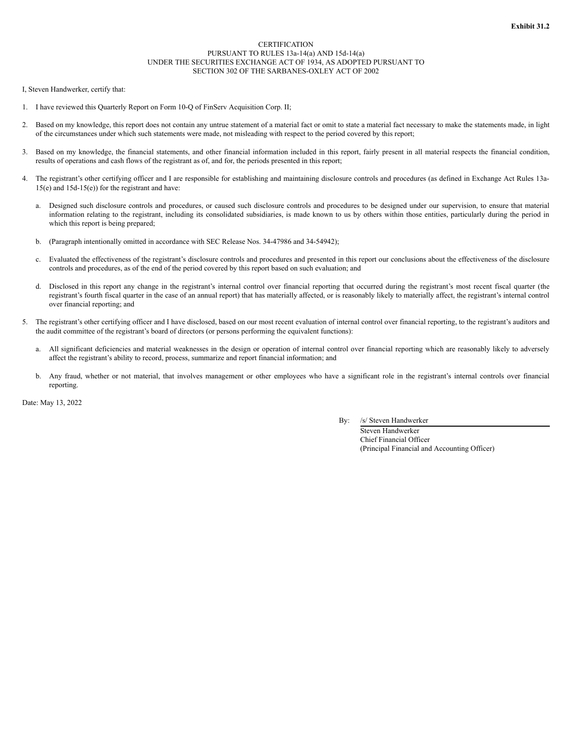# **CERTIFICATION** PURSUANT TO RULES 13a-14(a) AND 15d-14(a) UNDER THE SECURITIES EXCHANGE ACT OF 1934, AS ADOPTED PURSUANT TO SECTION 302 OF THE SARBANES-OXLEY ACT OF 2002

I, Steven Handwerker, certify that:

- 1. I have reviewed this Quarterly Report on Form 10-Q of FinServ Acquisition Corp. II;
- 2. Based on my knowledge, this report does not contain any untrue statement of a material fact or omit to state a material fact necessary to make the statements made, in light of the circumstances under which such statements were made, not misleading with respect to the period covered by this report;
- 3. Based on my knowledge, the financial statements, and other financial information included in this report, fairly present in all material respects the financial condition, results of operations and cash flows of the registrant as of, and for, the periods presented in this report;
- 4. The registrant's other certifying officer and I are responsible for establishing and maintaining disclosure controls and procedures (as defined in Exchange Act Rules 13a- $15(e)$  and  $15d-15(e)$  for the registrant and have:
	- Designed such disclosure controls and procedures, or caused such disclosure controls and procedures to be designed under our supervision, to ensure that material information relating to the registrant, including its consolidated subsidiaries, is made known to us by others within those entities, particularly during the period in which this report is being prepared;
	- b. (Paragraph intentionally omitted in accordance with SEC Release Nos. 34-47986 and 34-54942);
	- c. Evaluated the effectiveness of the registrant's disclosure controls and procedures and presented in this report our conclusions about the effectiveness of the disclosure controls and procedures, as of the end of the period covered by this report based on such evaluation; and
	- d. Disclosed in this report any change in the registrant's internal control over financial reporting that occurred during the registrant's most recent fiscal quarter (the registrant's fourth fiscal quarter in the case of an annual report) that has materially affected, or is reasonably likely to materially affect, the registrant's internal control over financial reporting; and
- The registrant's other certifying officer and I have disclosed, based on our most recent evaluation of internal control over financial reporting, to the registrant's auditors and the audit committee of the registrant's board of directors (or persons performing the equivalent functions):
	- a. All significant deficiencies and material weaknesses in the design or operation of internal control over financial reporting which are reasonably likely to adversely affect the registrant's ability to record, process, summarize and report financial information; and
	- b. Any fraud, whether or not material, that involves management or other employees who have a significant role in the registrant's internal controls over financial reporting.

Date: May 13, 2022

# By: /s/ Steven Handwerker

Steven Handwerker Chief Financial Officer (Principal Financial and Accounting Officer)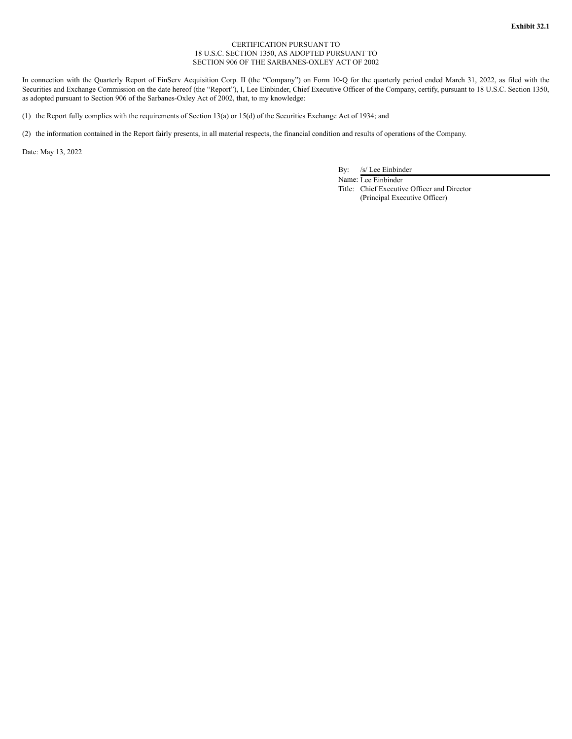# CERTIFICATION PURSUANT TO 18 U.S.C. SECTION 1350, AS ADOPTED PURSUANT TO SECTION 906 OF THE SARBANES-OXLEY ACT OF 2002

In connection with the Quarterly Report of FinServ Acquisition Corp. II (the "Company") on Form 10-Q for the quarterly period ended March 31, 2022, as filed with the Securities and Exchange Commission on the date hereof (the "Report"), I, Lee Einbinder, Chief Executive Officer of the Company, certify, pursuant to 18 U.S.C. Section 1350, as adopted pursuant to Section 906 of the Sarbanes-Oxley Act of 2002, that, to my knowledge:

(1) the Report fully complies with the requirements of Section 13(a) or 15(d) of the Securities Exchange Act of 1934; and

(2) the information contained in the Report fairly presents, in all material respects, the financial condition and results of operations of the Company.

Date: May 13, 2022

By: /s/ Lee Einbinder

Name: Lee Einbinder Title: Chief Executive Officer and Director (Principal Executive Officer)